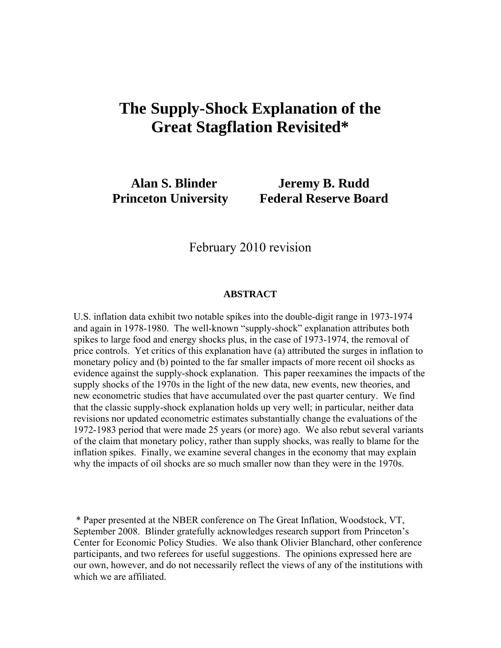# **The Supply-Shock Explanation of the Great Stagflation Revisited\***

**Alan S. Blinder Jeremy B. Rudd Princeton University Federal Reserve Board** 

February 2010 revision

#### **ABSTRACT**

U.S. inflation data exhibit two notable spikes into the double-digit range in 1973-1974 and again in 1978-1980. The well-known "supply-shock" explanation attributes both spikes to large food and energy shocks plus, in the case of 1973-1974, the removal of price controls. Yet critics of this explanation have (a) attributed the surges in inflation to monetary policy and (b) pointed to the far smaller impacts of more recent oil shocks as evidence against the supply-shock explanation. This paper reexamines the impacts of the supply shocks of the 1970s in the light of the new data, new events, new theories, and new econometric studies that have accumulated over the past quarter century. We find that the classic supply-shock explanation holds up very well; in particular, neither data revisions nor updated econometric estimates substantially change the evaluations of the 1972-1983 period that were made 25 years (or more) ago. We also rebut several variants of the claim that monetary policy, rather than supply shocks, was really to blame for the inflation spikes. Finally, we examine several changes in the economy that may explain why the impacts of oil shocks are so much smaller now than they were in the 1970s.

 \* Paper presented at the NBER conference on The Great Inflation, Woodstock, VT, September 2008. Blinder gratefully acknowledges research support from Princeton's Center for Economic Policy Studies. We also thank Olivier Blanchard, other conference participants, and two referees for useful suggestions. The opinions expressed here are our own, however, and do not necessarily reflect the views of any of the institutions with which we are affiliated.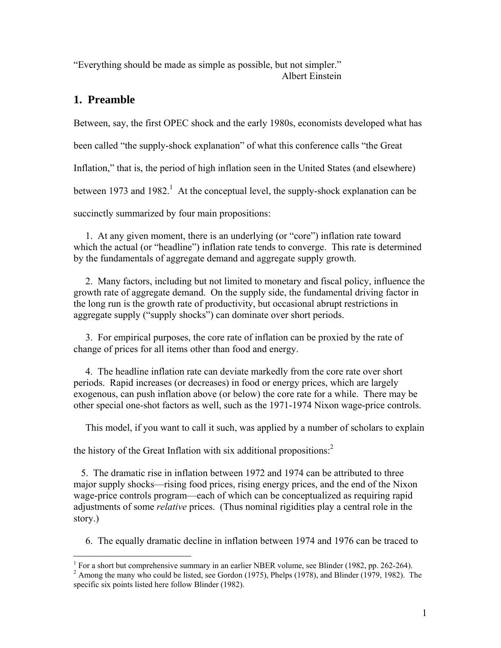"Everything should be made as simple as possible, but not simpler." Albert Einstein

## **1. Preamble**

Between, say, the first OPEC shock and the early 1980s, economists developed what has

been called "the supply-shock explanation" of what this conference calls "the Great

Inflation," that is, the period of high inflation seen in the United States (and elsewhere)

between 1973 and 1982.<sup>1</sup> At the conceptual level, the supply-shock explanation can be

succinctly summarized by four main propositions:

1. At any given moment, there is an underlying (or "core") inflation rate toward which the actual (or "headline") inflation rate tends to converge. This rate is determined by the fundamentals of aggregate demand and aggregate supply growth.

2. Many factors, including but not limited to monetary and fiscal policy, influence the growth rate of aggregate demand. On the supply side, the fundamental driving factor in the long run is the growth rate of productivity, but occasional abrupt restrictions in aggregate supply ("supply shocks") can dominate over short periods.

3. For empirical purposes, the core rate of inflation can be proxied by the rate of change of prices for all items other than food and energy.

4. The headline inflation rate can deviate markedly from the core rate over short periods. Rapid increases (or decreases) in food or energy prices, which are largely exogenous, can push inflation above (or below) the core rate for a while. There may be other special one-shot factors as well, such as the 1971-1974 Nixon wage-price controls.

This model, if you want to call it such, was applied by a number of scholars to explain

the history of the Great Inflation with six additional propositions: $<sup>2</sup>$ </sup>

 5. The dramatic rise in inflation between 1972 and 1974 can be attributed to three major supply shocks—rising food prices, rising energy prices, and the end of the Nixon wage-price controls program—each of which can be conceptualized as requiring rapid adjustments of some *relative* prices. (Thus nominal rigidities play a central role in the story.)

6. The equally dramatic decline in inflation between 1974 and 1976 can be traced to

 $\overline{a}$ <sup>1</sup> For a short but comprehensive summary in an earlier NBER volume, see Blinder (1982, pp. 262-264).

 $2 \text{ Among the many who could be listed, see Gordon (1975), Phelps (1978), and Blinder (1979, 1982).}$ specific six points listed here follow Blinder (1982).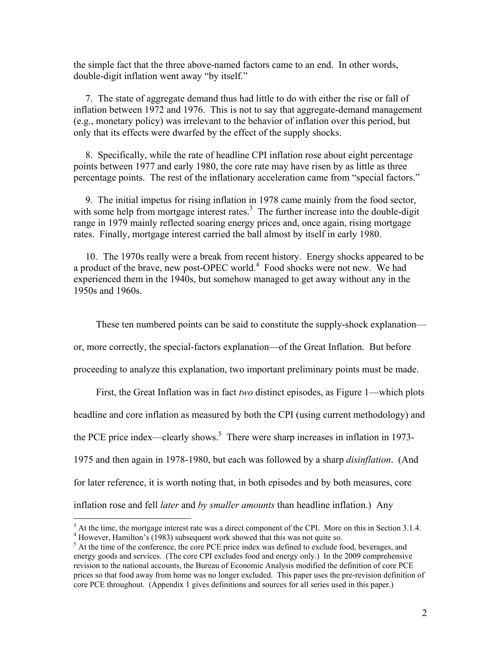the simple fact that the three above-named factors came to an end. In other words, double-digit inflation went away "by itself."

7. The state of aggregate demand thus had little to do with either the rise or fall of inflation between 1972 and 1976. This is not to say that aggregate-demand management (e.g., monetary policy) was irrelevant to the behavior of inflation over this period, but only that its effects were dwarfed by the effect of the supply shocks.

8. Specifically, while the rate of headline CPI inflation rose about eight percentage points between 1977 and early 1980, the core rate may have risen by as little as three percentage points. The rest of the inflationary acceleration came from "special factors."

9. The initial impetus for rising inflation in 1978 came mainly from the food sector, with some help from mortgage interest rates.<sup>3</sup> The further increase into the double-digit range in 1979 mainly reflected soaring energy prices and, once again, rising mortgage rates. Finally, mortgage interest carried the ball almost by itself in early 1980.

10. The 1970s really were a break from recent history. Energy shocks appeared to be a product of the brave, new post-OPEC world.<sup>4</sup> Food shocks were not new. We had experienced them in the 1940s, but somehow managed to get away without any in the 1950s and 1960s.

These ten numbered points can be said to constitute the supply-shock explanation—

or, more correctly, the special-factors explanation—of the Great Inflation. But before

proceeding to analyze this explanation, two important preliminary points must be made.

First, the Great Inflation was in fact *two* distinct episodes, as Figure 1—which plots headline and core inflation as measured by both the CPI (using current methodology) and the PCE price index—clearly shows.<sup>5</sup> There were sharp increases in inflation in 1973-1975 and then again in 1978-1980, but each was followed by a sharp *disinflation*. (And for later reference, it is worth noting that, in both episodes and by both measures, core inflation rose and fell *later* and *by smaller amounts* than headline inflation.) Any

 $3$  At the time, the mortgage interest rate was a direct component of the CPI. More on this in Section 3.1.4. <sup>4</sup> However, Hamilton's (1983) subsequent work showed that this was not quite so.

<sup>&</sup>lt;sup>5</sup> At the time of the conference, the core PCE price index was defined to exclude food, beverages, and energy goods and services. (The core CPI excludes food and energy only.) In the 2009 comprehensive revision to the national accounts, the Bureau of Economic Analysis modified the definition of core PCE prices so that food away from home was no longer excluded. This paper uses the pre-revision definition of core PCE throughout. (Appendix 1 gives definitions and sources for all series used in this paper.)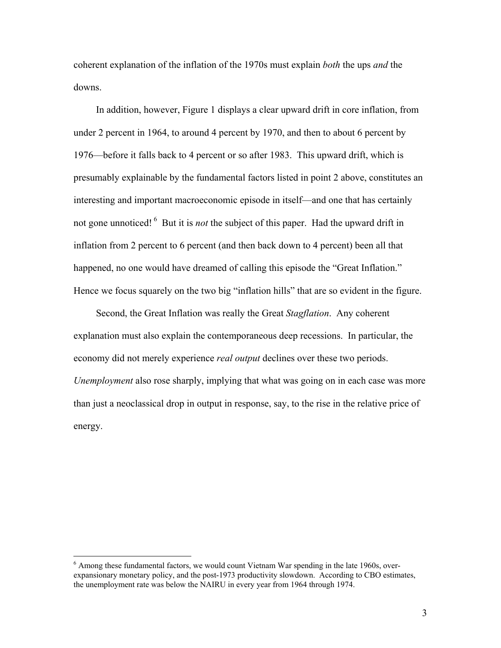coherent explanation of the inflation of the 1970s must explain *both* the ups *and* the downs.

In addition, however, Figure 1 displays a clear upward drift in core inflation, from under 2 percent in 1964, to around 4 percent by 1970, and then to about 6 percent by 1976—before it falls back to 4 percent or so after 1983. This upward drift, which is presumably explainable by the fundamental factors listed in point 2 above, constitutes an interesting and important macroeconomic episode in itself—and one that has certainly not gone unnoticed! 6 But it is *not* the subject of this paper. Had the upward drift in inflation from 2 percent to 6 percent (and then back down to 4 percent) been all that happened, no one would have dreamed of calling this episode the "Great Inflation." Hence we focus squarely on the two big "inflation hills" that are so evident in the figure.

Second, the Great Inflation was really the Great *Stagflation*. Any coherent explanation must also explain the contemporaneous deep recessions. In particular, the economy did not merely experience *real output* declines over these two periods. *Unemployment* also rose sharply, implying that what was going on in each case was more than just a neoclassical drop in output in response, say, to the rise in the relative price of energy.

<sup>&</sup>lt;sup>6</sup> Among these fundamental factors, we would count Vietnam War spending in the late 1960s, overexpansionary monetary policy, and the post-1973 productivity slowdown. According to CBO estimates, the unemployment rate was below the NAIRU in every year from 1964 through 1974.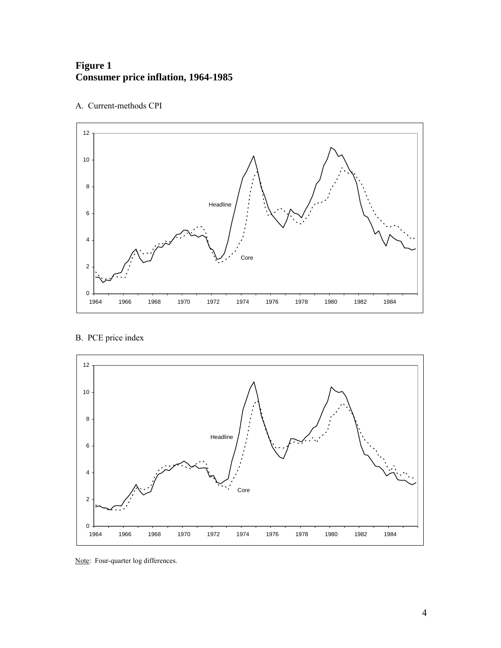## **Figure 1 Consumer price inflation, 1964-1985**



A. Current-methods CPI

### B. PCE price index



Note: Four-quarter log differences.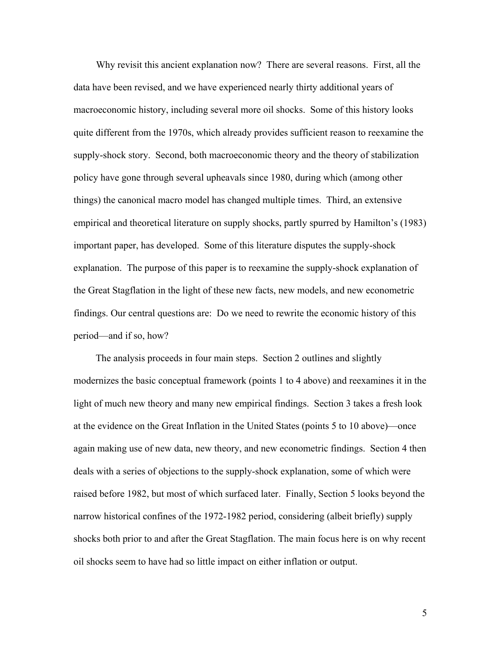Why revisit this ancient explanation now? There are several reasons. First, all the data have been revised, and we have experienced nearly thirty additional years of macroeconomic history, including several more oil shocks. Some of this history looks quite different from the 1970s, which already provides sufficient reason to reexamine the supply-shock story. Second, both macroeconomic theory and the theory of stabilization policy have gone through several upheavals since 1980, during which (among other things) the canonical macro model has changed multiple times. Third, an extensive empirical and theoretical literature on supply shocks, partly spurred by Hamilton's (1983) important paper, has developed. Some of this literature disputes the supply-shock explanation. The purpose of this paper is to reexamine the supply-shock explanation of the Great Stagflation in the light of these new facts, new models, and new econometric findings. Our central questions are: Do we need to rewrite the economic history of this period—and if so, how?

The analysis proceeds in four main steps. Section 2 outlines and slightly modernizes the basic conceptual framework (points 1 to 4 above) and reexamines it in the light of much new theory and many new empirical findings. Section 3 takes a fresh look at the evidence on the Great Inflation in the United States (points 5 to 10 above)—once again making use of new data, new theory, and new econometric findings. Section 4 then deals with a series of objections to the supply-shock explanation, some of which were raised before 1982, but most of which surfaced later. Finally, Section 5 looks beyond the narrow historical confines of the 1972-1982 period, considering (albeit briefly) supply shocks both prior to and after the Great Stagflation. The main focus here is on why recent oil shocks seem to have had so little impact on either inflation or output.

5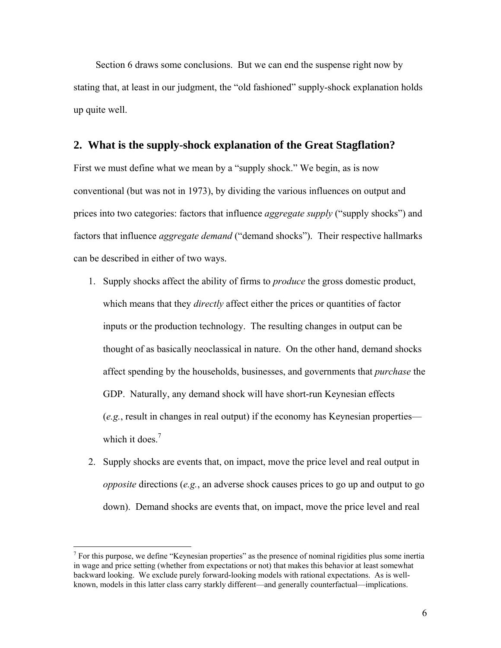Section 6 draws some conclusions. But we can end the suspense right now by stating that, at least in our judgment, the "old fashioned" supply-shock explanation holds up quite well.

## **2. What is the supply-shock explanation of the Great Stagflation?**

First we must define what we mean by a "supply shock." We begin, as is now conventional (but was not in 1973), by dividing the various influences on output and prices into two categories: factors that influence *aggregate supply* ("supply shocks") and factors that influence *aggregate demand* ("demand shocks"). Their respective hallmarks can be described in either of two ways.

- 1. Supply shocks affect the ability of firms to *produce* the gross domestic product, which means that they *directly* affect either the prices or quantities of factor inputs or the production technology. The resulting changes in output can be thought of as basically neoclassical in nature. On the other hand, demand shocks affect spending by the households, businesses, and governments that *purchase* the GDP. Naturally, any demand shock will have short-run Keynesian effects (*e.g.*, result in changes in real output) if the economy has Keynesian properties which it does. $<sup>7</sup>$ </sup>
- 2. Supply shocks are events that, on impact, move the price level and real output in *opposite* directions (*e.g.*, an adverse shock causes prices to go up and output to go down). Demand shocks are events that, on impact, move the price level and real

<u>.</u>

 $<sup>7</sup>$  For this purpose, we define "Keynesian properties" as the presence of nominal rigidities plus some inertia</sup> in wage and price setting (whether from expectations or not) that makes this behavior at least somewhat backward looking. We exclude purely forward-looking models with rational expectations. As is wellknown, models in this latter class carry starkly different—and generally counterfactual—implications.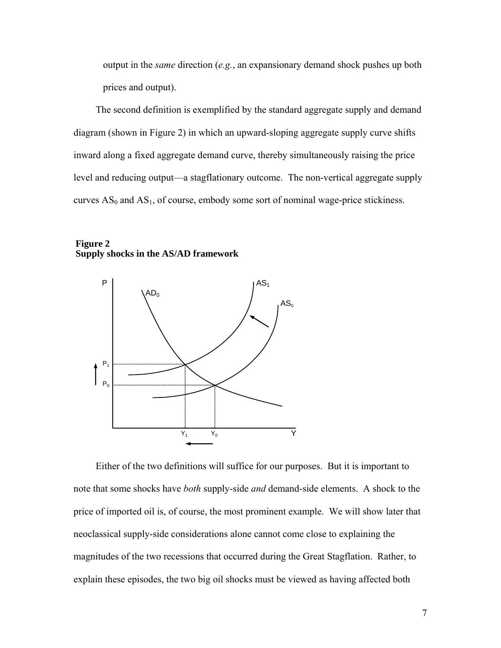output in the *same* direction (*e.g.*, an expansionary demand shock pushes up both prices and output).

The second definition is exemplified by the standard aggregate supply and demand diagram (shown in Figure 2) in which an upward-sloping aggregate supply curve shifts inward along a fixed aggregate demand curve, thereby simultaneously raising the price level and reducing output—a stagflationary outcome. The non-vertical aggregate supply curves  $AS_0$  and  $AS_1$ , of course, embody some sort of nominal wage-price stickiness.

#### **Figure 2 Supply shocks in the AS/AD framework**



Either of the two definitions will suffice for our purposes. But it is important to note that some shocks have *both* supply-side *and* demand-side elements. A shock to the price of imported oil is, of course, the most prominent example. We will show later that neoclassical supply-side considerations alone cannot come close to explaining the magnitudes of the two recessions that occurred during the Great Stagflation. Rather, to explain these episodes, the two big oil shocks must be viewed as having affected both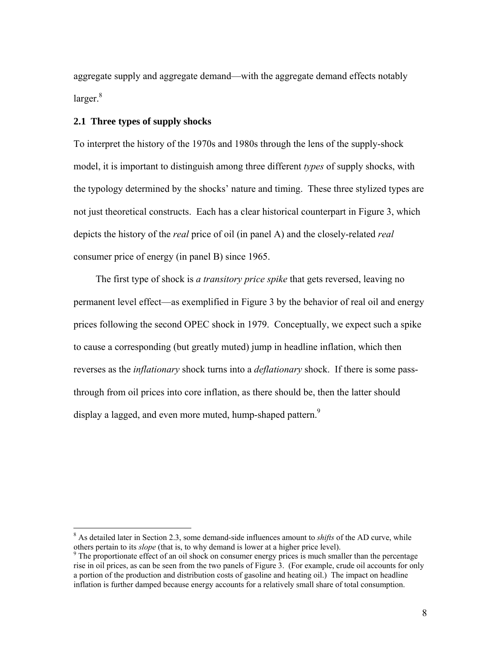aggregate supply and aggregate demand—with the aggregate demand effects notably  $larger.<sup>8</sup>$ 

### **2.1 Three types of supply shocks**

 $\overline{a}$ 

To interpret the history of the 1970s and 1980s through the lens of the supply-shock model, it is important to distinguish among three different *types* of supply shocks, with the typology determined by the shocks' nature and timing. These three stylized types are not just theoretical constructs. Each has a clear historical counterpart in Figure 3, which depicts the history of the *real* price of oil (in panel A) and the closely-related *real* consumer price of energy (in panel B) since 1965.

The first type of shock is *a transitory price spike* that gets reversed, leaving no permanent level effect—as exemplified in Figure 3 by the behavior of real oil and energy prices following the second OPEC shock in 1979. Conceptually, we expect such a spike to cause a corresponding (but greatly muted) jump in headline inflation, which then reverses as the *inflationary* shock turns into a *deflationary* shock. If there is some passthrough from oil prices into core inflation, as there should be, then the latter should display a lagged, and even more muted, hump-shaped pattern.<sup>9</sup>

<sup>8</sup> As detailed later in Section 2.3, some demand-side influences amount to *shifts* of the AD curve, while others pertain to its *slope* (that is, to why demand is lower at a higher price level). 9

<sup>&</sup>lt;sup>9</sup> The proportionate effect of an oil shock on consumer energy prices is much smaller than the percentage rise in oil prices, as can be seen from the two panels of Figure 3. (For example, crude oil accounts for only a portion of the production and distribution costs of gasoline and heating oil.) The impact on headline inflation is further damped because energy accounts for a relatively small share of total consumption.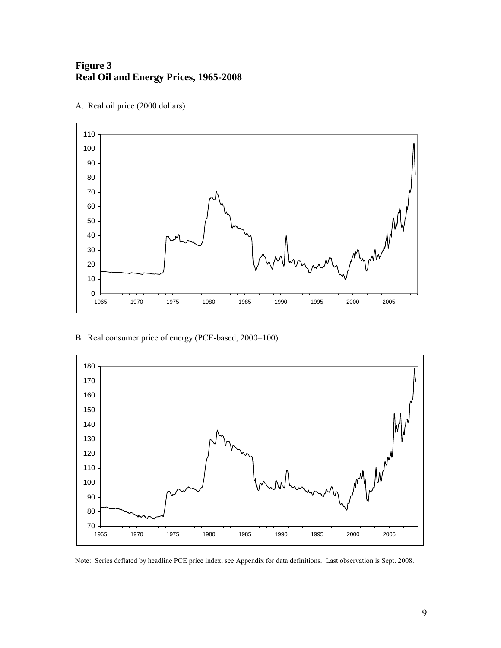## **Figure 3 Real Oil and Energy Prices, 1965-2008**



A. Real oil price (2000 dollars)

B. Real consumer price of energy (PCE-based, 2000=100)



Note: Series deflated by headline PCE price index; see Appendix for data definitions. Last observation is Sept. 2008.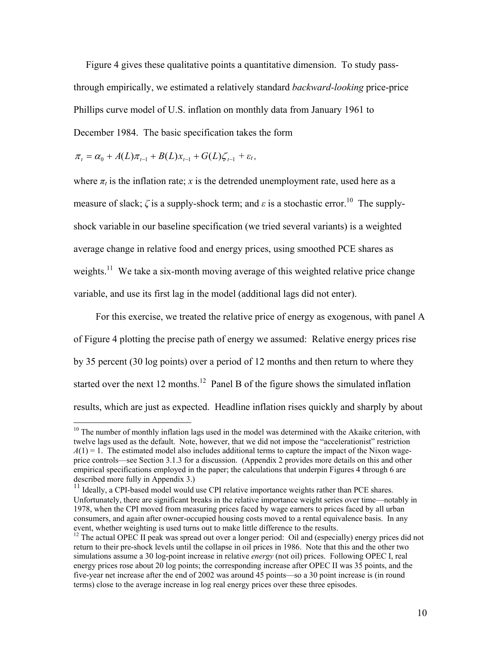Figure 4 gives these qualitative points a quantitative dimension. To study passthrough empirically, we estimated a relatively standard *backward-looking* price-price Phillips curve model of U.S. inflation on monthly data from January 1961 to December 1984. The basic specification takes the form

$$
\pi_t = \alpha_0 + A(L)\pi_{t-1} + B(L)x_{t-1} + G(L)\zeta_{t-1} + \varepsilon_t,
$$

 $\overline{a}$ 

where  $\pi_t$  is the inflation rate; *x* is the detrended unemployment rate, used here as a measure of slack;  $\zeta$  is a supply-shock term; and  $\varepsilon$  is a stochastic error.<sup>10</sup> The supplyshock variable in our baseline specification (we tried several variants) is a weighted average change in relative food and energy prices, using smoothed PCE shares as weights.<sup>11</sup> We take a six-month moving average of this weighted relative price change variable, and use its first lag in the model (additional lags did not enter).

For this exercise, we treated the relative price of energy as exogenous, with panel A of Figure 4 plotting the precise path of energy we assumed: Relative energy prices rise by 35 percent (30 log points) over a period of 12 months and then return to where they started over the next 12 months.<sup>12</sup> Panel B of the figure shows the simulated inflation results, which are just as expected. Headline inflation rises quickly and sharply by about

<sup>&</sup>lt;sup>10</sup> The number of monthly inflation lags used in the model was determined with the Akaike criterion, with twelve lags used as the default. Note, however, that we did not impose the "accelerationist" restriction  $A(1) = 1$ . The estimated model also includes additional terms to capture the impact of the Nixon wageprice controls—see Section 3.1.3 for a discussion. (Appendix 2 provides more details on this and other empirical specifications employed in the paper; the calculations that underpin Figures 4 through 6 are described more fully in Appendix 3.)

<sup>&</sup>lt;sup>11</sup> Ideally, a CPI-based model would use CPI relative importance weights rather than PCE shares. Unfortunately, there are significant breaks in the relative importance weight series over time—notably in 1978, when the CPI moved from measuring prices faced by wage earners to prices faced by all urban consumers, and again after owner-occupied housing costs moved to a rental equivalence basis. In any event, whether weighting is used turns out to make little difference to the results.<br><sup>12</sup> The actual OPEC II peak was spread out over a longer period: Oil and (especially) energy prices did not

return to their pre-shock levels until the collapse in oil prices in 1986. Note that this and the other two simulations assume a 30 log-point increase in relative *energy* (not oil) prices. Following OPEC I, real energy prices rose about 20 log points; the corresponding increase after OPEC II was 35 points, and the five-year net increase after the end of 2002 was around 45 points—so a 30 point increase is (in round terms) close to the average increase in log real energy prices over these three episodes.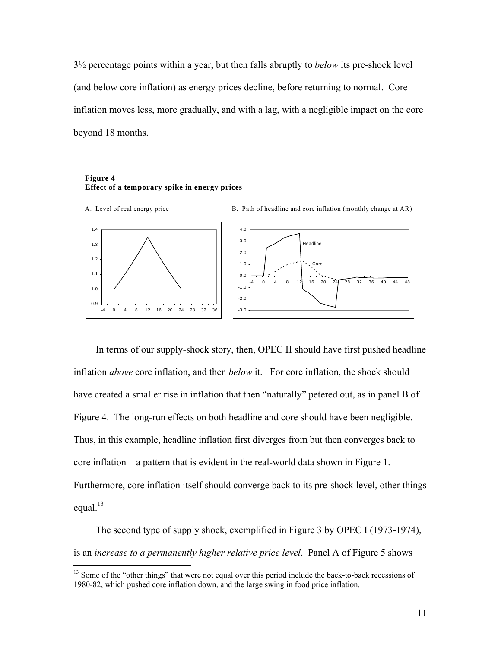3½ percentage points within a year, but then falls abruptly to *below* its pre-shock level (and below core inflation) as energy prices decline, before returning to normal. Core inflation moves less, more gradually, and with a lag, with a negligible impact on the core beyond 18 months.

#### **Figure 4 Effect of a temporary spike in energy prices**

 $\overline{a}$ 



In terms of our supply-shock story, then, OPEC II should have first pushed headline inflation *above* core inflation, and then *below* it. For core inflation, the shock should have created a smaller rise in inflation that then "naturally" petered out, as in panel B of Figure 4. The long-run effects on both headline and core should have been negligible. Thus, in this example, headline inflation first diverges from but then converges back to core inflation—a pattern that is evident in the real-world data shown in Figure 1. Furthermore, core inflation itself should converge back to its pre-shock level, other things equal. $^{13}$ 

The second type of supply shock, exemplified in Figure 3 by OPEC I (1973-1974), is an *increase to a permanently higher relative price level*. Panel A of Figure 5 shows

<sup>&</sup>lt;sup>13</sup> Some of the "other things" that were not equal over this period include the back-to-back recessions of 1980-82, which pushed core inflation down, and the large swing in food price inflation.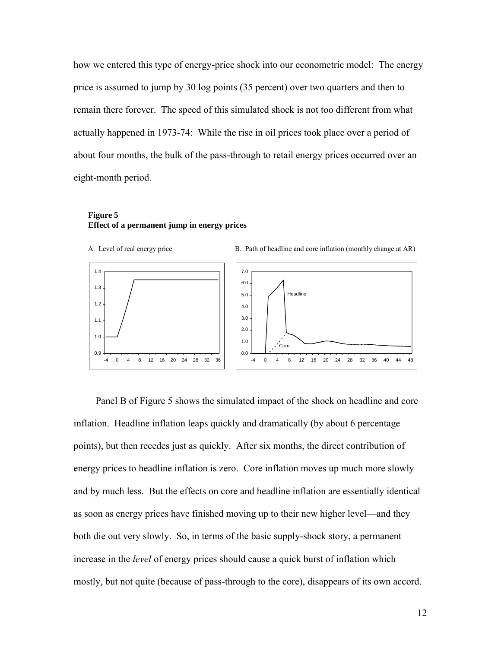how we entered this type of energy-price shock into our econometric model: The energy price is assumed to jump by 30 log points (35 percent) over two quarters and then to remain there forever. The speed of this simulated shock is not too different from what actually happened in 1973-74: While the rise in oil prices took place over a period of about four months, the bulk of the pass-through to retail energy prices occurred over an eight-month period.

#### **Figure 5 Effect of a permanent jump in energy prices**



0.9

1.0 1.1 1.2 1.3

1.4





Panel B of Figure 5 shows the simulated impact of the shock on headline and core inflation. Headline inflation leaps quickly and dramatically (by about 6 percentage points), but then recedes just as quickly. After six months, the direct contribution of energy prices to headline inflation is zero. Core inflation moves up much more slowly and by much less. But the effects on core and headline inflation are essentially identical as soon as energy prices have finished moving up to their new higher level—and they both die out very slowly. So, in terms of the basic supply-shock story, a permanent increase in the *level* of energy prices should cause a quick burst of inflation which mostly, but not quite (because of pass-through to the core), disappears of its own accord.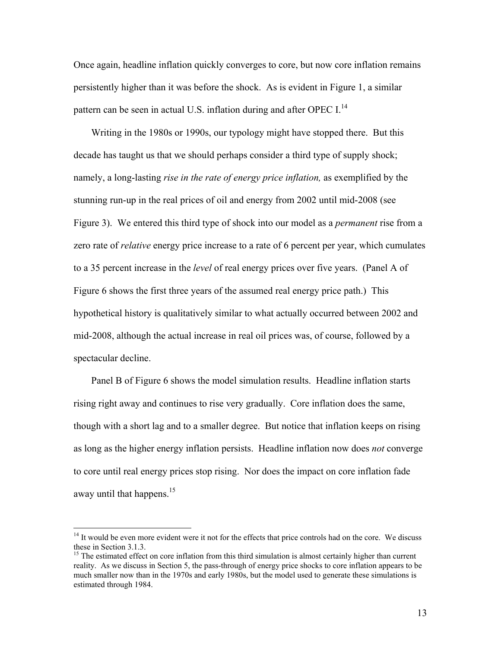Once again, headline inflation quickly converges to core, but now core inflation remains persistently higher than it was before the shock. As is evident in Figure 1, a similar pattern can be seen in actual U.S. inflation during and after OPEC I.<sup>14</sup>

Writing in the 1980s or 1990s, our typology might have stopped there. But this decade has taught us that we should perhaps consider a third type of supply shock; namely, a long-lasting *rise in the rate of energy price inflation,* as exemplified by the stunning run-up in the real prices of oil and energy from 2002 until mid-2008 (see Figure 3). We entered this third type of shock into our model as a *permanent* rise from a zero rate of *relative* energy price increase to a rate of 6 percent per year, which cumulates to a 35 percent increase in the *level* of real energy prices over five years. (Panel A of Figure 6 shows the first three years of the assumed real energy price path.) This hypothetical history is qualitatively similar to what actually occurred between 2002 and mid-2008, although the actual increase in real oil prices was, of course, followed by a spectacular decline.

Panel B of Figure 6 shows the model simulation results. Headline inflation starts rising right away and continues to rise very gradually. Core inflation does the same, though with a short lag and to a smaller degree. But notice that inflation keeps on rising as long as the higher energy inflation persists. Headline inflation now does *not* converge to core until real energy prices stop rising. Nor does the impact on core inflation fade away until that happens.<sup>15</sup>

<sup>&</sup>lt;sup>14</sup> It would be even more evident were it not for the effects that price controls had on the core. We discuss these in Section 3.1.3.

 $15$  The estimated effect on core inflation from this third simulation is almost certainly higher than current reality. As we discuss in Section 5, the pass-through of energy price shocks to core inflation appears to be much smaller now than in the 1970s and early 1980s, but the model used to generate these simulations is estimated through 1984.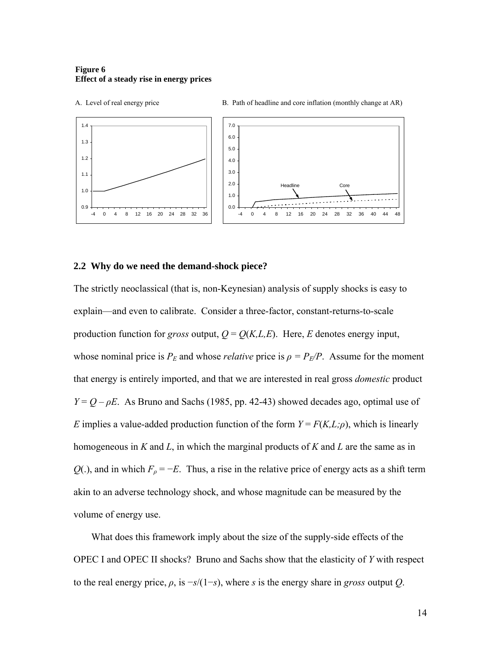#### **Figure 6 Effect of a steady rise in energy prices**



#### **2.2 Why do we need the demand-shock piece?**

The strictly neoclassical (that is, non-Keynesian) analysis of supply shocks is easy to explain—and even to calibrate. Consider a three-factor, constant-returns-to-scale production function for *gross* output,  $Q = Q(K, L, E)$ . Here, *E* denotes energy input, whose nominal price is  $P_E$  and whose *relative* price is  $\rho = P_E/P$ . Assume for the moment that energy is entirely imported, and that we are interested in real gross *domestic* product  $Y = Q - \rho E$ . As Bruno and Sachs (1985, pp. 42-43) showed decades ago, optimal use of *E* implies a value-added production function of the form  $Y = F(K,L;\rho)$ , which is linearly homogeneous in *K* and *L*, in which the marginal products of *K* and *L* are the same as in  $Q(.)$ , and in which  $F_p = -E$ . Thus, a rise in the relative price of energy acts as a shift term akin to an adverse technology shock, and whose magnitude can be measured by the volume of energy use.

What does this framework imply about the size of the supply-side effects of the OPEC I and OPEC II shocks? Bruno and Sachs show that the elasticity of *Y* with respect to the real energy price,  $\rho$ , is  $-s/(1-s)$ , where *s* is the energy share in *gross* output *Q*.

14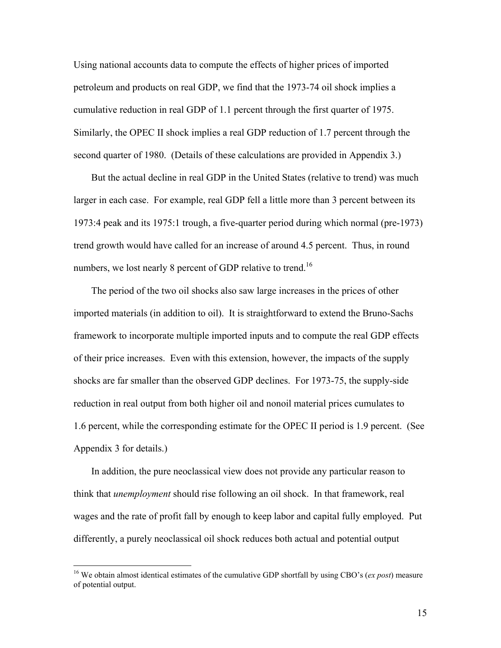Using national accounts data to compute the effects of higher prices of imported petroleum and products on real GDP, we find that the 1973-74 oil shock implies a cumulative reduction in real GDP of 1.1 percent through the first quarter of 1975. Similarly, the OPEC II shock implies a real GDP reduction of 1.7 percent through the second quarter of 1980. (Details of these calculations are provided in Appendix 3.)

But the actual decline in real GDP in the United States (relative to trend) was much larger in each case. For example, real GDP fell a little more than 3 percent between its 1973:4 peak and its 1975:1 trough, a five-quarter period during which normal (pre-1973) trend growth would have called for an increase of around 4.5 percent. Thus, in round numbers, we lost nearly 8 percent of GDP relative to trend.<sup>16</sup>

The period of the two oil shocks also saw large increases in the prices of other imported materials (in addition to oil). It is straightforward to extend the Bruno-Sachs framework to incorporate multiple imported inputs and to compute the real GDP effects of their price increases. Even with this extension, however, the impacts of the supply shocks are far smaller than the observed GDP declines. For 1973-75, the supply-side reduction in real output from both higher oil and nonoil material prices cumulates to 1.6 percent, while the corresponding estimate for the OPEC II period is 1.9 percent. (See Appendix 3 for details.)

In addition, the pure neoclassical view does not provide any particular reason to think that *unemployment* should rise following an oil shock. In that framework, real wages and the rate of profit fall by enough to keep labor and capital fully employed. Put differently, a purely neoclassical oil shock reduces both actual and potential output

<sup>16</sup> We obtain almost identical estimates of the cumulative GDP shortfall by using CBO's (*ex post*) measure of potential output.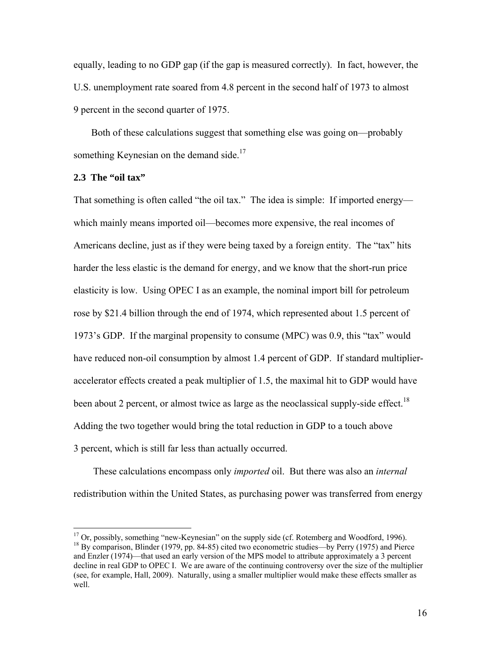equally, leading to no GDP gap (if the gap is measured correctly). In fact, however, the U.S. unemployment rate soared from 4.8 percent in the second half of 1973 to almost 9 percent in the second quarter of 1975.

Both of these calculations suggest that something else was going on—probably something Keynesian on the demand side. $17$ 

#### **2.3 The "oil tax"**

1

That something is often called "the oil tax." The idea is simple: If imported energy which mainly means imported oil—becomes more expensive, the real incomes of Americans decline, just as if they were being taxed by a foreign entity. The "tax" hits harder the less elastic is the demand for energy, and we know that the short-run price elasticity is low. Using OPEC I as an example, the nominal import bill for petroleum rose by \$21.4 billion through the end of 1974, which represented about 1.5 percent of 1973's GDP. If the marginal propensity to consume (MPC) was 0.9, this "tax" would have reduced non-oil consumption by almost 1.4 percent of GDP. If standard multiplieraccelerator effects created a peak multiplier of 1.5, the maximal hit to GDP would have been about 2 percent, or almost twice as large as the neoclassical supply-side effect.<sup>18</sup> Adding the two together would bring the total reduction in GDP to a touch above 3 percent, which is still far less than actually occurred.

 These calculations encompass only *imported* oil. But there was also an *internal*  redistribution within the United States, as purchasing power was transferred from energy

 $17$  Or, possibly, something "new-Keynesian" on the supply side (cf. Rotemberg and Woodford, 1996). <sup>18</sup> By comparison, Blinder (1979, pp. 84-85) cited two econometric studies—by Perry (1975) and Pierce and Enzler (1974)—that used an early version of the MPS model to attribute approximately a 3 percent decline in real GDP to OPEC I. We are aware of the continuing controversy over the size of the multiplier (see, for example, Hall, 2009). Naturally, using a smaller multiplier would make these effects smaller as well.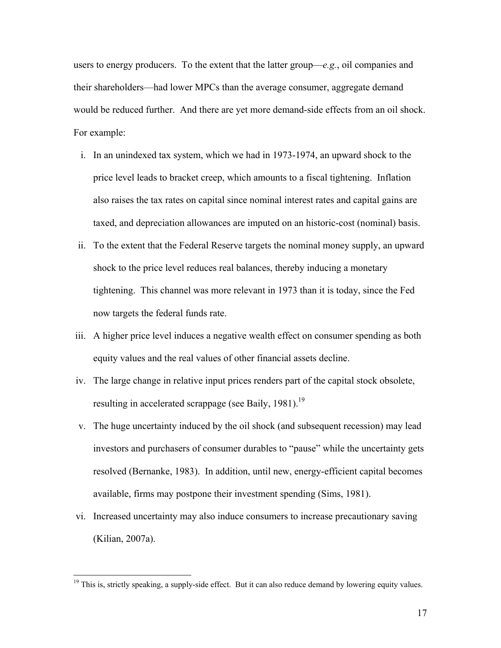users to energy producers. To the extent that the latter group—*e.g.*, oil companies and their shareholders—had lower MPCs than the average consumer, aggregate demand would be reduced further. And there are yet more demand-side effects from an oil shock. For example:

- i. In an unindexed tax system, which we had in 1973-1974, an upward shock to the price level leads to bracket creep, which amounts to a fiscal tightening. Inflation also raises the tax rates on capital since nominal interest rates and capital gains are taxed, and depreciation allowances are imputed on an historic-cost (nominal) basis.
- ii. To the extent that the Federal Reserve targets the nominal money supply, an upward shock to the price level reduces real balances, thereby inducing a monetary tightening. This channel was more relevant in 1973 than it is today, since the Fed now targets the federal funds rate.
- iii. A higher price level induces a negative wealth effect on consumer spending as both equity values and the real values of other financial assets decline.
- iv. The large change in relative input prices renders part of the capital stock obsolete, resulting in accelerated scrappage (see Baily,  $1981$ ).<sup>19</sup>
- v. The huge uncertainty induced by the oil shock (and subsequent recession) may lead investors and purchasers of consumer durables to "pause" while the uncertainty gets resolved (Bernanke, 1983). In addition, until new, energy-efficient capital becomes available, firms may postpone their investment spending (Sims, 1981).
- vi. Increased uncertainty may also induce consumers to increase precautionary saving (Kilian, 2007a).

 $19$  This is, strictly speaking, a supply-side effect. But it can also reduce demand by lowering equity values.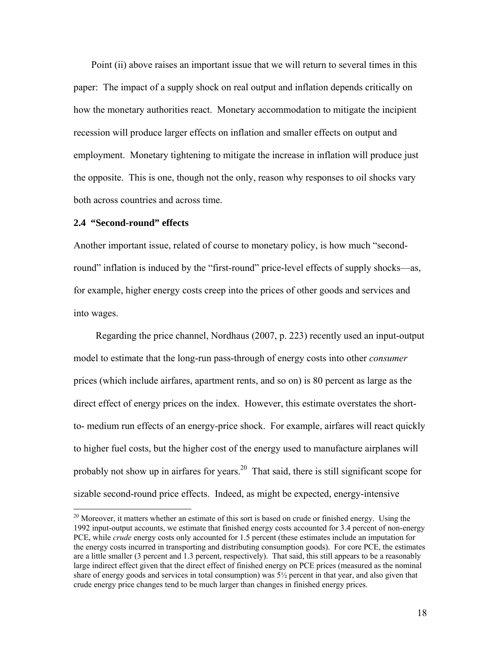Point (ii) above raises an important issue that we will return to several times in this paper: The impact of a supply shock on real output and inflation depends critically on how the monetary authorities react. Monetary accommodation to mitigate the incipient recession will produce larger effects on inflation and smaller effects on output and employment. Monetary tightening to mitigate the increase in inflation will produce just the opposite. This is one, though not the only, reason why responses to oil shocks vary both across countries and across time.

#### **2.4 "Second-round" effects**

1

Another important issue, related of course to monetary policy, is how much "secondround" inflation is induced by the "first-round" price-level effects of supply shocks—as, for example, higher energy costs creep into the prices of other goods and services and into wages.

Regarding the price channel, Nordhaus (2007, p. 223) recently used an input-output model to estimate that the long-run pass-through of energy costs into other *consumer* prices (which include airfares, apartment rents, and so on) is 80 percent as large as the direct effect of energy prices on the index. However, this estimate overstates the shortto- medium run effects of an energy-price shock. For example, airfares will react quickly to higher fuel costs, but the higher cost of the energy used to manufacture airplanes will probably not show up in airfares for years.<sup>20</sup> That said, there is still significant scope for sizable second-round price effects. Indeed, as might be expected, energy-intensive

<sup>&</sup>lt;sup>20</sup> Moreover, it matters whether an estimate of this sort is based on crude or finished energy. Using the 1992 input-output accounts, we estimate that finished energy costs accounted for 3.4 percent of non-energy PCE, while *crude* energy costs only accounted for 1.5 percent (these estimates include an imputation for the energy costs incurred in transporting and distributing consumption goods). For core PCE, the estimates are a little smaller (3 percent and 1.3 percent, respectively). That said, this still appears to be a reasonably large indirect effect given that the direct effect of finished energy on PCE prices (measured as the nominal share of energy goods and services in total consumption) was  $5\frac{1}{2}$  percent in that year, and also given that crude energy price changes tend to be much larger than changes in finished energy prices.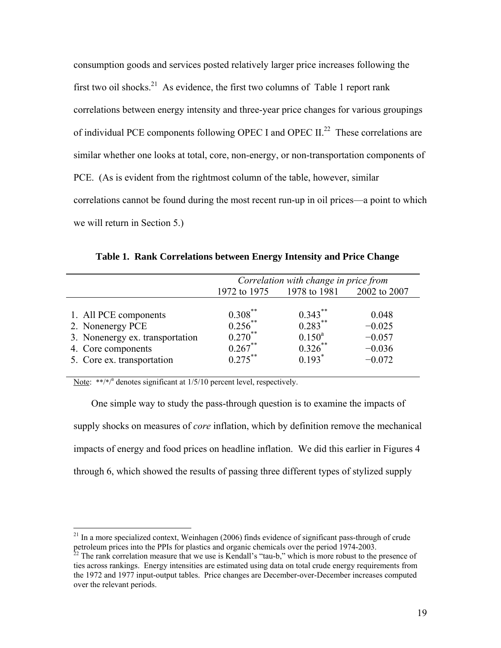consumption goods and services posted relatively larger price increases following the first two oil shocks.<sup>21</sup> As evidence, the first two columns of Table 1 report rank correlations between energy intensity and three-year price changes for various groupings of individual PCE components following OPEC I and OPEC II.22 These correlations are similar whether one looks at total, core, non-energy, or non-transportation components of PCE. (As is evident from the rightmost column of the table, however, similar correlations cannot be found during the most recent run-up in oil prices—a point to which we will return in Section 5.)

|                                                                                                    | Correlation with change in price from                              |                                                                 |                                           |  |  |
|----------------------------------------------------------------------------------------------------|--------------------------------------------------------------------|-----------------------------------------------------------------|-------------------------------------------|--|--|
|                                                                                                    | 1972 to 1975                                                       | 1978 to 1981                                                    | 2002 to 2007                              |  |  |
| 1. All PCE components<br>2. Nonenergy PCE<br>3. Nonenergy ex. transportation<br>4. Core components | $0.308$ **<br>$0.256$ **<br>$0.270$ **<br>$0.267$ **<br>$0.275***$ | $0.343***$<br>$0.283***$<br>$0.150^a$<br>$0.326$ **<br>$0.193*$ | 0.048<br>$-0.025$<br>$-0.057$<br>$-0.036$ |  |  |
| 5. Core ex. transportation                                                                         |                                                                    |                                                                 | $-0.072$                                  |  |  |

**Table 1. Rank Correlations between Energy Intensity and Price Change**

Note: \*\*/\*/<sup>a</sup> denotes significant at 1/5/10 percent level, respectively.

 $\overline{a}$ 

One simple way to study the pass-through question is to examine the impacts of supply shocks on measures of *core* inflation, which by definition remove the mechanical impacts of energy and food prices on headline inflation. We did this earlier in Figures 4 through 6, which showed the results of passing three different types of stylized supply

 $21$  In a more specialized context, Weinhagen (2006) finds evidence of significant pass-through of crude petroleum prices into the PPIs for plastics and organic chemicals over the period 1974-2003.

 $^{22}$  The rank correlation measure that we use is Kendall's "tau-b," which is more robust to the presence of ties across rankings. Energy intensities are estimated using data on total crude energy requirements from the 1972 and 1977 input-output tables. Price changes are December-over-December increases computed over the relevant periods.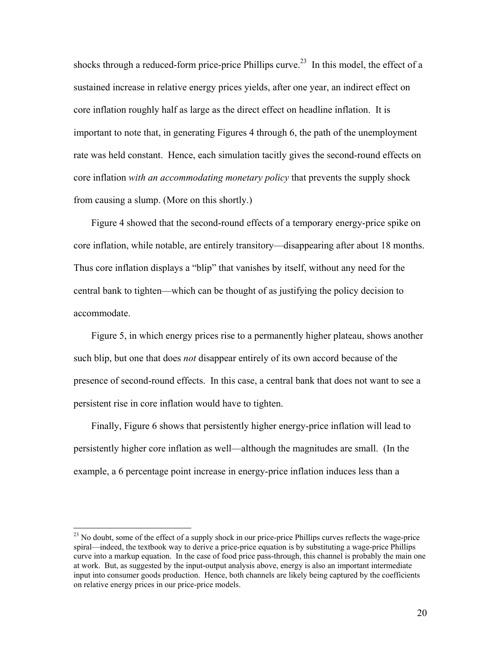shocks through a reduced-form price-price Phillips curve.<sup>23</sup> In this model, the effect of a sustained increase in relative energy prices yields, after one year, an indirect effect on core inflation roughly half as large as the direct effect on headline inflation. It is important to note that, in generating Figures 4 through 6, the path of the unemployment rate was held constant. Hence, each simulation tacitly gives the second-round effects on core inflation *with an accommodating monetary policy* that prevents the supply shock from causing a slump. (More on this shortly.)

Figure 4 showed that the second-round effects of a temporary energy-price spike on core inflation, while notable, are entirely transitory—disappearing after about 18 months. Thus core inflation displays a "blip" that vanishes by itself, without any need for the central bank to tighten—which can be thought of as justifying the policy decision to accommodate.

Figure 5, in which energy prices rise to a permanently higher plateau, shows another such blip, but one that does *not* disappear entirely of its own accord because of the presence of second-round effects. In this case, a central bank that does not want to see a persistent rise in core inflation would have to tighten.

Finally, Figure 6 shows that persistently higher energy-price inflation will lead to persistently higher core inflation as well—although the magnitudes are small. (In the example, a 6 percentage point increase in energy-price inflation induces less than a

1

 $^{23}$  No doubt, some of the effect of a supply shock in our price-price Phillips curves reflects the wage-price spiral—indeed, the textbook way to derive a price-price equation is by substituting a wage-price Phillips curve into a markup equation. In the case of food price pass-through, this channel is probably the main one at work. But, as suggested by the input-output analysis above, energy is also an important intermediate input into consumer goods production. Hence, both channels are likely being captured by the coefficients on relative energy prices in our price-price models.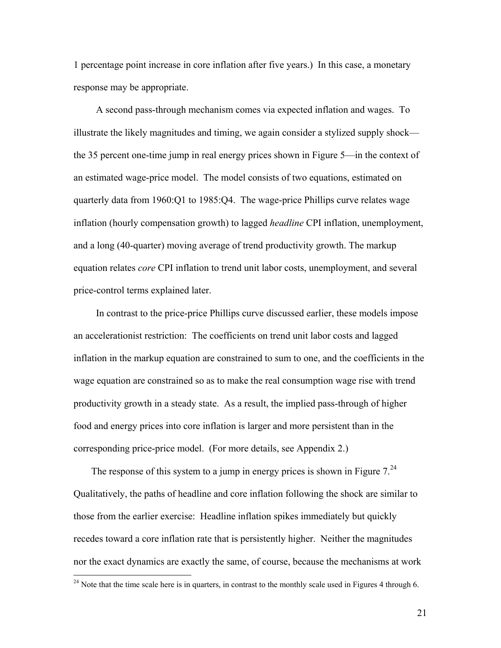1 percentage point increase in core inflation after five years.) In this case, a monetary response may be appropriate.

A second pass-through mechanism comes via expected inflation and wages. To illustrate the likely magnitudes and timing, we again consider a stylized supply shock the 35 percent one-time jump in real energy prices shown in Figure 5—in the context of an estimated wage-price model. The model consists of two equations, estimated on quarterly data from 1960:Q1 to 1985:Q4. The wage-price Phillips curve relates wage inflation (hourly compensation growth) to lagged *headline* CPI inflation, unemployment, and a long (40-quarter) moving average of trend productivity growth. The markup equation relates *core* CPI inflation to trend unit labor costs, unemployment, and several price-control terms explained later.

In contrast to the price-price Phillips curve discussed earlier, these models impose an accelerationist restriction: The coefficients on trend unit labor costs and lagged inflation in the markup equation are constrained to sum to one, and the coefficients in the wage equation are constrained so as to make the real consumption wage rise with trend productivity growth in a steady state. As a result, the implied pass-through of higher food and energy prices into core inflation is larger and more persistent than in the corresponding price-price model. (For more details, see Appendix 2.)

The response of this system to a jump in energy prices is shown in Figure  $7<sup>24</sup>$ Qualitatively, the paths of headline and core inflation following the shock are similar to those from the earlier exercise: Headline inflation spikes immediately but quickly recedes toward a core inflation rate that is persistently higher. Neither the magnitudes nor the exact dynamics are exactly the same, of course, because the mechanisms at work

<u>.</u>

 $^{24}$  Note that the time scale here is in quarters, in contrast to the monthly scale used in Figures 4 through 6.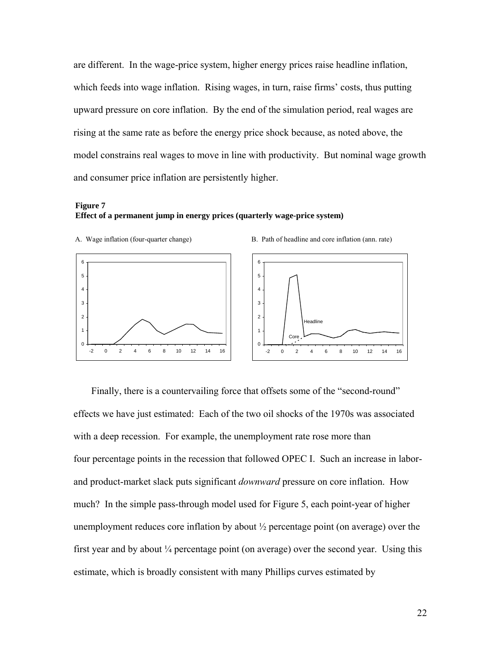are different. In the wage-price system, higher energy prices raise headline inflation, which feeds into wage inflation. Rising wages, in turn, raise firms' costs, thus putting upward pressure on core inflation. By the end of the simulation period, real wages are rising at the same rate as before the energy price shock because, as noted above, the model constrains real wages to move in line with productivity. But nominal wage growth and consumer price inflation are persistently higher.

#### **Figure 7 Effect of a permanent jump in energy prices (quarterly wage-price system)**







Finally, there is a countervailing force that offsets some of the "second-round" effects we have just estimated: Each of the two oil shocks of the 1970s was associated with a deep recession. For example, the unemployment rate rose more than four percentage points in the recession that followed OPEC I. Such an increase in laborand product-market slack puts significant *downward* pressure on core inflation. How much? In the simple pass-through model used for Figure 5, each point-year of higher unemployment reduces core inflation by about ½ percentage point (on average) over the first year and by about  $\frac{1}{4}$  percentage point (on average) over the second year. Using this estimate, which is broadly consistent with many Phillips curves estimated by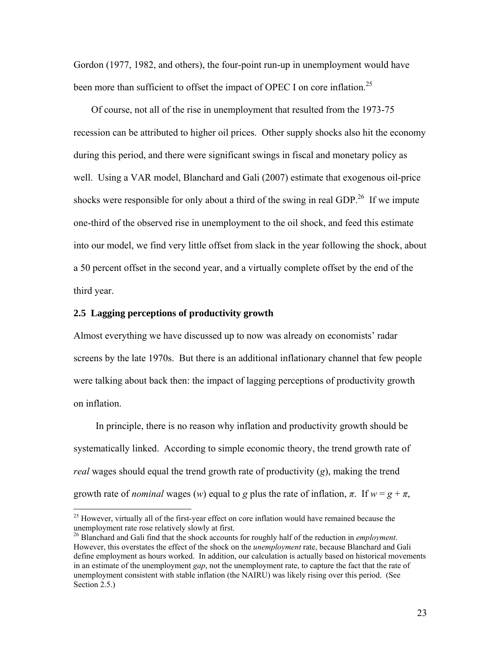Gordon (1977, 1982, and others), the four-point run-up in unemployment would have been more than sufficient to offset the impact of OPEC I on core inflation.<sup>25</sup>

Of course, not all of the rise in unemployment that resulted from the 1973-75 recession can be attributed to higher oil prices. Other supply shocks also hit the economy during this period, and there were significant swings in fiscal and monetary policy as well. Using a VAR model, Blanchard and Gali (2007) estimate that exogenous oil-price shocks were responsible for only about a third of the swing in real GDP.<sup>26</sup> If we impute one-third of the observed rise in unemployment to the oil shock, and feed this estimate into our model, we find very little offset from slack in the year following the shock, about a 50 percent offset in the second year, and a virtually complete offset by the end of the third year.

#### **2.5 Lagging perceptions of productivity growth**

 $\overline{a}$ 

Almost everything we have discussed up to now was already on economists' radar screens by the late 1970s. But there is an additional inflationary channel that few people were talking about back then: the impact of lagging perceptions of productivity growth on inflation.

In principle, there is no reason why inflation and productivity growth should be systematically linked. According to simple economic theory, the trend growth rate of *real* wages should equal the trend growth rate of productivity (*g*), making the trend growth rate of *nominal* wages (*w*) equal to *g* plus the rate of inflation,  $\pi$ . If  $w = g + \pi$ ,

 $25$  However, virtually all of the first-year effect on core inflation would have remained because the unemployment rate rose relatively slowly at first.

<sup>26</sup> Blanchard and Gali find that the shock accounts for roughly half of the reduction in *employment*. However, this overstates the effect of the shock on the *unemployment* rate, because Blanchard and Gali define employment as hours worked. In addition, our calculation is actually based on historical movements in an estimate of the unemployment *gap*, not the unemployment rate, to capture the fact that the rate of unemployment consistent with stable inflation (the NAIRU) was likely rising over this period. (See Section 2.5.)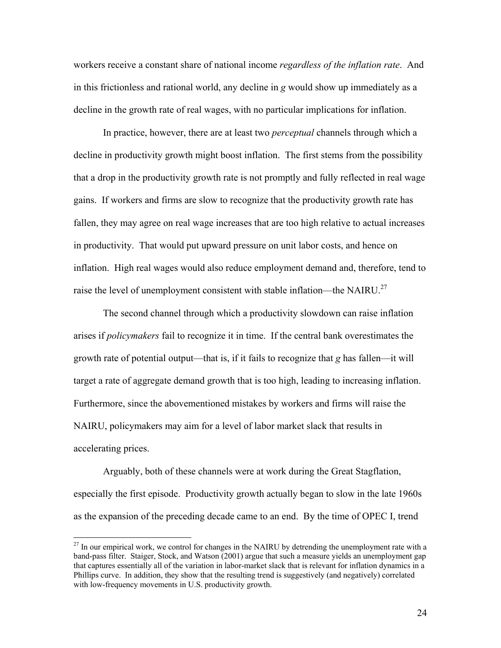workers receive a constant share of national income *regardless of the inflation rate*. And in this frictionless and rational world, any decline in *g* would show up immediately as a decline in the growth rate of real wages, with no particular implications for inflation.

In practice, however, there are at least two *perceptual* channels through which a decline in productivity growth might boost inflation. The first stems from the possibility that a drop in the productivity growth rate is not promptly and fully reflected in real wage gains. If workers and firms are slow to recognize that the productivity growth rate has fallen, they may agree on real wage increases that are too high relative to actual increases in productivity. That would put upward pressure on unit labor costs, and hence on inflation. High real wages would also reduce employment demand and, therefore, tend to raise the level of unemployment consistent with stable inflation—the NAIRU.<sup>27</sup>

The second channel through which a productivity slowdown can raise inflation arises if *policymakers* fail to recognize it in time. If the central bank overestimates the growth rate of potential output—that is, if it fails to recognize that *g* has fallen—it will target a rate of aggregate demand growth that is too high, leading to increasing inflation. Furthermore, since the abovementioned mistakes by workers and firms will raise the NAIRU, policymakers may aim for a level of labor market slack that results in accelerating prices.

Arguably, both of these channels were at work during the Great Stagflation, especially the first episode. Productivity growth actually began to slow in the late 1960s as the expansion of the preceding decade came to an end. By the time of OPEC I, trend

1

 $27$  In our empirical work, we control for changes in the NAIRU by detrending the unemployment rate with a band-pass filter. Staiger, Stock, and Watson (2001) argue that such a measure yields an unemployment gap that captures essentially all of the variation in labor-market slack that is relevant for inflation dynamics in a Phillips curve. In addition, they show that the resulting trend is suggestively (and negatively) correlated with low-frequency movements in U.S. productivity growth.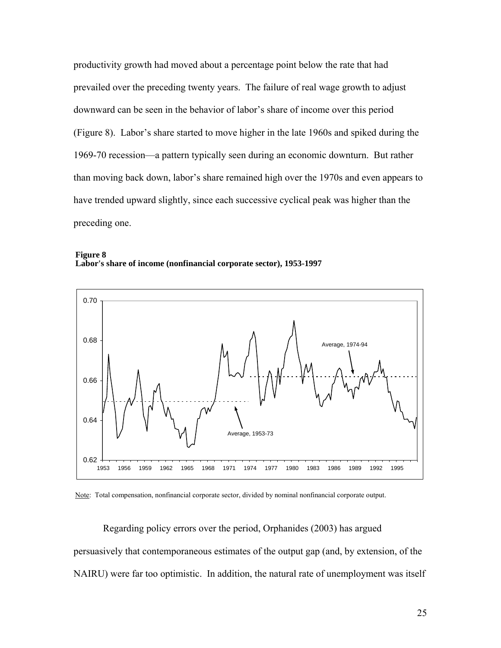productivity growth had moved about a percentage point below the rate that had prevailed over the preceding twenty years. The failure of real wage growth to adjust downward can be seen in the behavior of labor's share of income over this period (Figure 8). Labor's share started to move higher in the late 1960s and spiked during the 1969-70 recession—a pattern typically seen during an economic downturn. But rather than moving back down, labor's share remained high over the 1970s and even appears to have trended upward slightly, since each successive cyclical peak was higher than the preceding one.





Note: Total compensation, nonfinancial corporate sector, divided by nominal nonfinancial corporate output.

Regarding policy errors over the period, Orphanides (2003) has argued persuasively that contemporaneous estimates of the output gap (and, by extension, of the NAIRU) were far too optimistic. In addition, the natural rate of unemployment was itself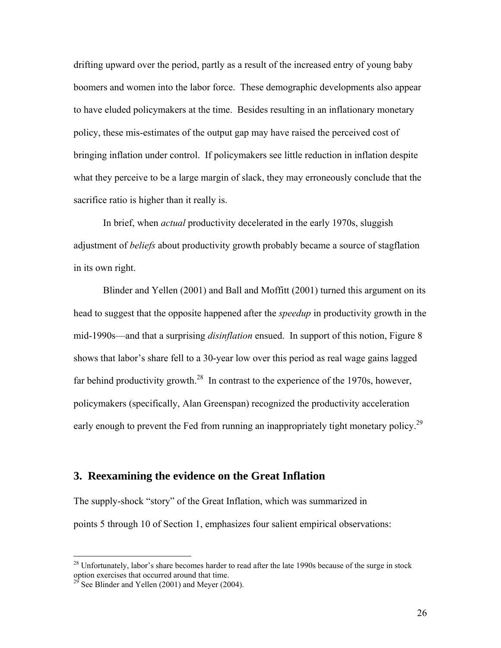drifting upward over the period, partly as a result of the increased entry of young baby boomers and women into the labor force. These demographic developments also appear to have eluded policymakers at the time. Besides resulting in an inflationary monetary policy, these mis-estimates of the output gap may have raised the perceived cost of bringing inflation under control. If policymakers see little reduction in inflation despite what they perceive to be a large margin of slack, they may erroneously conclude that the sacrifice ratio is higher than it really is.

In brief, when *actual* productivity decelerated in the early 1970s, sluggish adjustment of *beliefs* about productivity growth probably became a source of stagflation in its own right.

Blinder and Yellen (2001) and Ball and Moffitt (2001) turned this argument on its head to suggest that the opposite happened after the *speedup* in productivity growth in the mid-1990s—and that a surprising *disinflation* ensued. In support of this notion, Figure 8 shows that labor's share fell to a 30-year low over this period as real wage gains lagged far behind productivity growth.<sup>28</sup> In contrast to the experience of the 1970s, however, policymakers (specifically, Alan Greenspan) recognized the productivity acceleration early enough to prevent the Fed from running an inappropriately tight monetary policy.<sup>29</sup>

## **3. Reexamining the evidence on the Great Inflation**

The supply-shock "story" of the Great Inflation, which was summarized in points 5 through 10 of Section 1, emphasizes four salient empirical observations:

 $^{28}$  Unfortunately, labor's share becomes harder to read after the late 1990s because of the surge in stock option exercises that occurred around that time. <sup>29</sup> See Blinder and Yellen (2001) and Meyer (2004).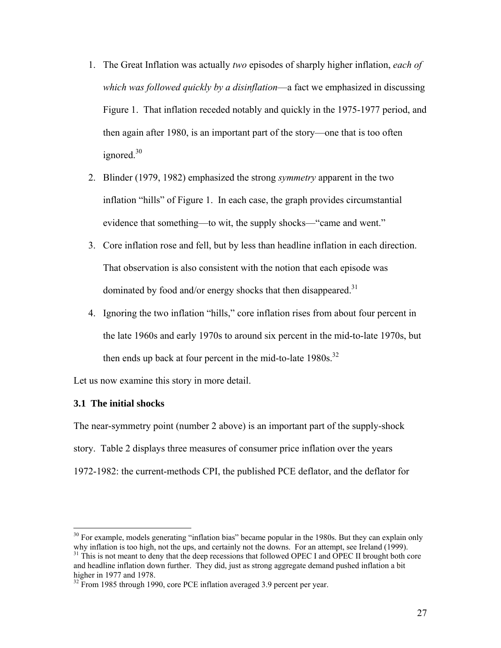- 1. The Great Inflation was actually *two* episodes of sharply higher inflation, *each of which was followed quickly by a disinflation*—a fact we emphasized in discussing Figure 1. That inflation receded notably and quickly in the 1975-1977 period, and then again after 1980, is an important part of the story—one that is too often ignored. $30$
- 2. Blinder (1979, 1982) emphasized the strong *symmetry* apparent in the two inflation "hills" of Figure 1. In each case, the graph provides circumstantial evidence that something—to wit, the supply shocks—"came and went."
- 3. Core inflation rose and fell, but by less than headline inflation in each direction. That observation is also consistent with the notion that each episode was dominated by food and/or energy shocks that then disappeared.<sup>31</sup>
- 4. Ignoring the two inflation "hills," core inflation rises from about four percent in the late 1960s and early 1970s to around six percent in the mid-to-late 1970s, but then ends up back at four percent in the mid-to-late  $1980s$ .<sup>32</sup>

Let us now examine this story in more detail.

#### **3.1 The initial shocks**

 $\overline{a}$ 

The near-symmetry point (number 2 above) is an important part of the supply-shock story. Table 2 displays three measures of consumer price inflation over the years 1972-1982: the current-methods CPI, the published PCE deflator, and the deflator for

 $30$  For example, models generating "inflation bias" became popular in the 1980s. But they can explain only why inflation is too high, not the ups, and certainly not the downs. For an attempt, see Ireland (1999).

<sup>&</sup>lt;sup>31</sup> This is not meant to deny that the deep recessions that followed OPEC I and OPEC II brought both core and headline inflation down further. They did, just as strong aggregate demand pushed inflation a bit higher in 1977 and 1978.

<sup>&</sup>lt;sup>32</sup> From 1985 through 1990, core PCE inflation averaged 3.9 percent per year.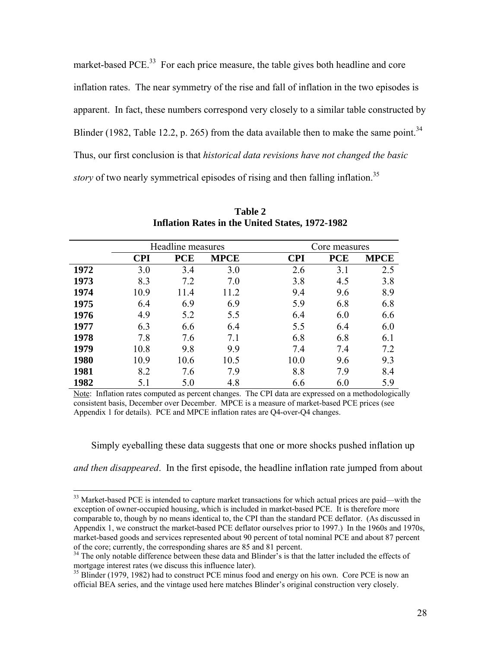market-based PCE.<sup>33</sup> For each price measure, the table gives both headline and core inflation rates. The near symmetry of the rise and fall of inflation in the two episodes is apparent. In fact, these numbers correspond very closely to a similar table constructed by Blinder (1982, Table 12.2, p. 265) from the data available then to make the same point.<sup>34</sup> Thus, our first conclusion is that *historical data revisions have not changed the basic story* of two nearly symmetrical episodes of rising and then falling inflation.<sup>35</sup>

|      | Headline measures |            |             |            | Core measures |             |  |
|------|-------------------|------------|-------------|------------|---------------|-------------|--|
|      | <b>CPI</b>        | <b>PCE</b> | <b>MPCE</b> | <b>CPI</b> | <b>PCE</b>    | <b>MPCE</b> |  |
| 1972 | 3.0               | 3.4        | 3.0         | 2.6        | 3.1           | 2.5         |  |
| 1973 | 8.3               | 7.2        | 7.0         | 3.8        | 4.5           | 3.8         |  |
| 1974 | 10.9              | 11.4       | 11.2        | 9.4        | 9.6           | 8.9         |  |
| 1975 | 6.4               | 6.9        | 6.9         | 5.9        | 6.8           | 6.8         |  |
| 1976 | 4.9               | 5.2        | 5.5         | 6.4        | 6.0           | 6.6         |  |
| 1977 | 6.3               | 6.6        | 6.4         | 5.5        | 6.4           | 6.0         |  |
| 1978 | 7.8               | 7.6        | 7.1         | 6.8        | 6.8           | 6.1         |  |
| 1979 | 10.8              | 9.8        | 9.9         | 7.4        | 7.4           | 7.2         |  |
| 1980 | 10.9              | 10.6       | 10.5        | 10.0       | 9.6           | 9.3         |  |
| 1981 | 8.2               | 7.6        | 7.9         | 8.8        | 7.9           | 8.4         |  |
| 1982 | 5.1               | 5.0        | 4.8         | 6.6        | 6.0           | 5.9         |  |

**Table 2 Inflation Rates in the United States, 1972-1982**

Note: Inflation rates computed as percent changes. The CPI data are expressed on a methodologically consistent basis, December over December. MPCE is a measure of market-based PCE prices (see Appendix 1 for details). PCE and MPCE inflation rates are Q4-over-Q4 changes.

Simply eyeballing these data suggests that one or more shocks pushed inflation up

*and then disappeared*. In the first episode, the headline inflation rate jumped from about

<sup>&</sup>lt;sup>33</sup> Market-based PCE is intended to capture market transactions for which actual prices are paid—with the exception of owner-occupied housing, which is included in market-based PCE. It is therefore more comparable to, though by no means identical to, the CPI than the standard PCE deflator. (As discussed in Appendix 1, we construct the market-based PCE deflator ourselves prior to 1997.) In the 1960s and 1970s, market-based goods and services represented about 90 percent of total nominal PCE and about 87 percent of the core; currently, the corresponding shares are 85 and 81 percent.

 $34$  The only notable difference between these data and Blinder's is that the latter included the effects of mortgage interest rates (we discuss this influence later).

<sup>&</sup>lt;sup>35</sup> Blinder (1979, 1982) had to construct PCE minus food and energy on his own. Core PCE is now an official BEA series, and the vintage used here matches Blinder's original construction very closely.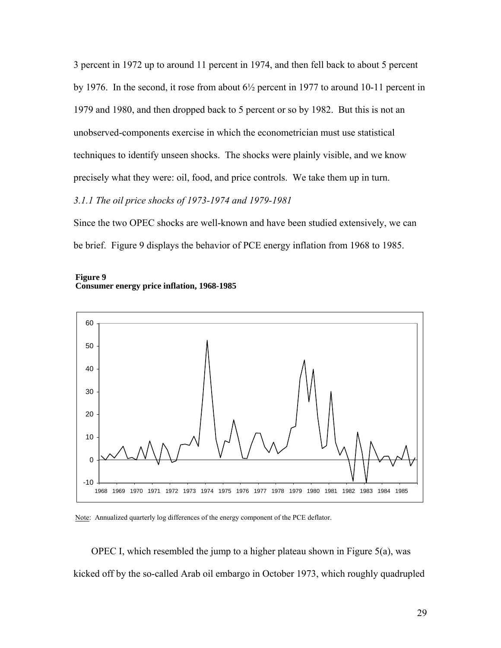3 percent in 1972 up to around 11 percent in 1974, and then fell back to about 5 percent by 1976. In the second, it rose from about 6½ percent in 1977 to around 10-11 percent in 1979 and 1980, and then dropped back to 5 percent or so by 1982. But this is not an unobserved-components exercise in which the econometrician must use statistical techniques to identify unseen shocks. The shocks were plainly visible, and we know precisely what they were: oil, food, and price controls. We take them up in turn.

*3.1.1 The oil price shocks of 1973-1974 and 1979-1981* 

Since the two OPEC shocks are well-known and have been studied extensively, we can be brief. Figure 9 displays the behavior of PCE energy inflation from 1968 to 1985.





Note: Annualized quarterly log differences of the energy component of the PCE deflator.

OPEC I, which resembled the jump to a higher plateau shown in Figure 5(a), was kicked off by the so-called Arab oil embargo in October 1973, which roughly quadrupled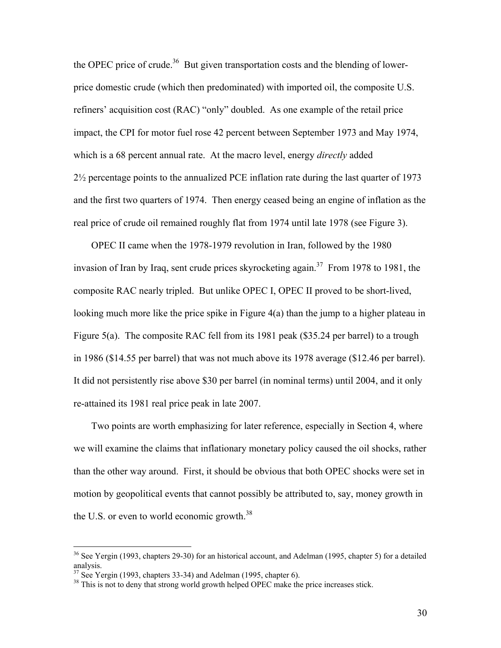the OPEC price of crude.<sup>36</sup> But given transportation costs and the blending of lowerprice domestic crude (which then predominated) with imported oil, the composite U.S. refiners' acquisition cost (RAC) "only" doubled. As one example of the retail price impact, the CPI for motor fuel rose 42 percent between September 1973 and May 1974, which is a 68 percent annual rate. At the macro level, energy *directly* added 2½ percentage points to the annualized PCE inflation rate during the last quarter of 1973 and the first two quarters of 1974. Then energy ceased being an engine of inflation as the real price of crude oil remained roughly flat from 1974 until late 1978 (see Figure 3).

OPEC II came when the 1978-1979 revolution in Iran, followed by the 1980 invasion of Iran by Iraq, sent crude prices skyrocketing again.<sup>37</sup> From 1978 to 1981, the composite RAC nearly tripled. But unlike OPEC I, OPEC II proved to be short-lived, looking much more like the price spike in Figure 4(a) than the jump to a higher plateau in Figure 5(a). The composite RAC fell from its 1981 peak (\$35.24 per barrel) to a trough in 1986 (\$14.55 per barrel) that was not much above its 1978 average (\$12.46 per barrel). It did not persistently rise above \$30 per barrel (in nominal terms) until 2004, and it only re-attained its 1981 real price peak in late 2007.

Two points are worth emphasizing for later reference, especially in Section 4, where we will examine the claims that inflationary monetary policy caused the oil shocks, rather than the other way around. First, it should be obvious that both OPEC shocks were set in motion by geopolitical events that cannot possibly be attributed to, say, money growth in the U.S. or even to world economic growth.<sup>38</sup>

<sup>&</sup>lt;sup>36</sup> See Yergin (1993, chapters 29-30) for an historical account, and Adelman (1995, chapter 5) for a detailed analysis.

 $37$  See Yergin (1993, chapters 33-34) and Adelman (1995, chapter 6).

<sup>&</sup>lt;sup>38</sup> This is not to deny that strong world growth helped OPEC make the price increases stick.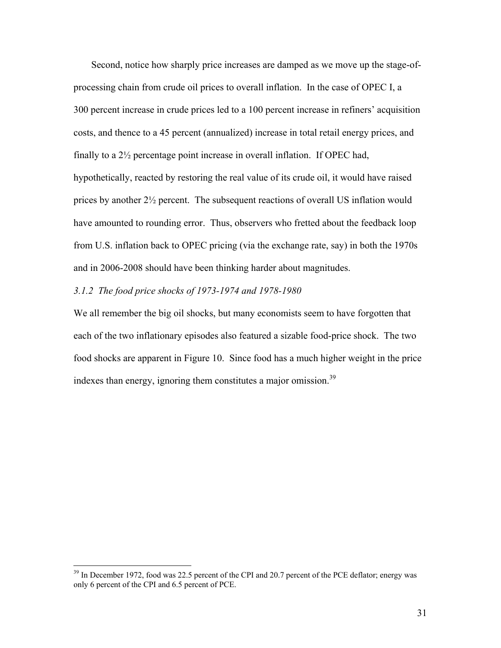Second, notice how sharply price increases are damped as we move up the stage-ofprocessing chain from crude oil prices to overall inflation. In the case of OPEC I, a 300 percent increase in crude prices led to a 100 percent increase in refiners' acquisition costs, and thence to a 45 percent (annualized) increase in total retail energy prices, and finally to a 2½ percentage point increase in overall inflation. If OPEC had, hypothetically, reacted by restoring the real value of its crude oil, it would have raised prices by another 2½ percent. The subsequent reactions of overall US inflation would have amounted to rounding error. Thus, observers who fretted about the feedback loop from U.S. inflation back to OPEC pricing (via the exchange rate, say) in both the 1970s and in 2006-2008 should have been thinking harder about magnitudes.

### *3.1.2 The food price shocks of 1973-1974 and 1978-1980*

 $\overline{a}$ 

We all remember the big oil shocks, but many economists seem to have forgotten that each of the two inflationary episodes also featured a sizable food-price shock. The two food shocks are apparent in Figure 10. Since food has a much higher weight in the price indexes than energy, ignoring them constitutes a major omission.<sup>39</sup>

<sup>&</sup>lt;sup>39</sup> In December 1972, food was 22.5 percent of the CPI and 20.7 percent of the PCE deflator; energy was only 6 percent of the CPI and 6.5 percent of PCE.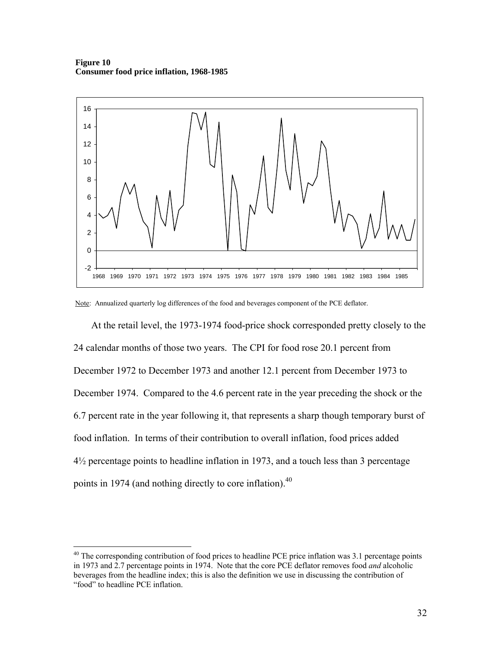$\overline{a}$ 





At the retail level, the 1973-1974 food-price shock corresponded pretty closely to the 24 calendar months of those two years. The CPI for food rose 20.1 percent from December 1972 to December 1973 and another 12.1 percent from December 1973 to December 1974. Compared to the 4.6 percent rate in the year preceding the shock or the 6.7 percent rate in the year following it, that represents a sharp though temporary burst of food inflation. In terms of their contribution to overall inflation, food prices added 4½ percentage points to headline inflation in 1973, and a touch less than 3 percentage points in 1974 (and nothing directly to core inflation).<sup>40</sup>

 $40$  The corresponding contribution of food prices to headline PCE price inflation was 3.1 percentage points in 1973 and 2.7 percentage points in 1974. Note that the core PCE deflator removes food *and* alcoholic beverages from the headline index; this is also the definition we use in discussing the contribution of "food" to headline PCE inflation.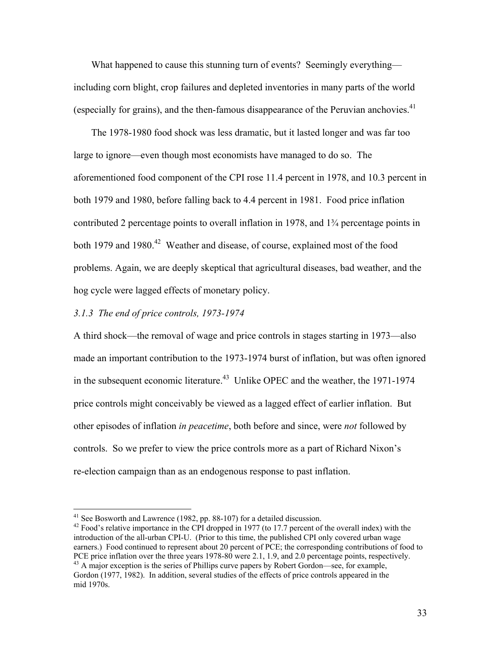What happened to cause this stunning turn of events? Seemingly everything including corn blight, crop failures and depleted inventories in many parts of the world (especially for grains), and the then-famous disappearance of the Peruvian anchovies.<sup>41</sup>

The 1978-1980 food shock was less dramatic, but it lasted longer and was far too large to ignore—even though most economists have managed to do so. The aforementioned food component of the CPI rose 11.4 percent in 1978, and 10.3 percent in both 1979 and 1980, before falling back to 4.4 percent in 1981. Food price inflation contributed 2 percentage points to overall inflation in 1978, and 1¾ percentage points in both 1979 and 1980.<sup>42</sup> Weather and disease, of course, explained most of the food problems. Again, we are deeply skeptical that agricultural diseases, bad weather, and the hog cycle were lagged effects of monetary policy.

#### *3.1.3 The end of price controls, 1973-1974*

 $\overline{a}$ 

A third shock—the removal of wage and price controls in stages starting in 1973—also made an important contribution to the 1973-1974 burst of inflation, but was often ignored in the subsequent economic literature.<sup>43</sup> Unlike OPEC and the weather, the 1971-1974 price controls might conceivably be viewed as a lagged effect of earlier inflation. But other episodes of inflation *in peacetime*, both before and since, were *not* followed by controls. So we prefer to view the price controls more as a part of Richard Nixon's re-election campaign than as an endogenous response to past inflation.

 $41$  See Bosworth and Lawrence (1982, pp. 88-107) for a detailed discussion.

<sup>&</sup>lt;sup>42</sup> Food's relative importance in the CPI dropped in 1977 (to 17.7 percent of the overall index) with the introduction of the all-urban CPI-U. (Prior to this time, the published CPI only covered urban wage earners.) Food continued to represent about 20 percent of PCE; the corresponding contributions of food to PCE price inflation over the three years 1978-80 were 2.1, 1.9, and 2.0 percentage points, respectively.

<sup>&</sup>lt;sup>43</sup> A major exception is the series of Phillips curve papers by Robert Gordon—see, for example, Gordon (1977, 1982). In addition, several studies of the effects of price controls appeared in the mid 1970s.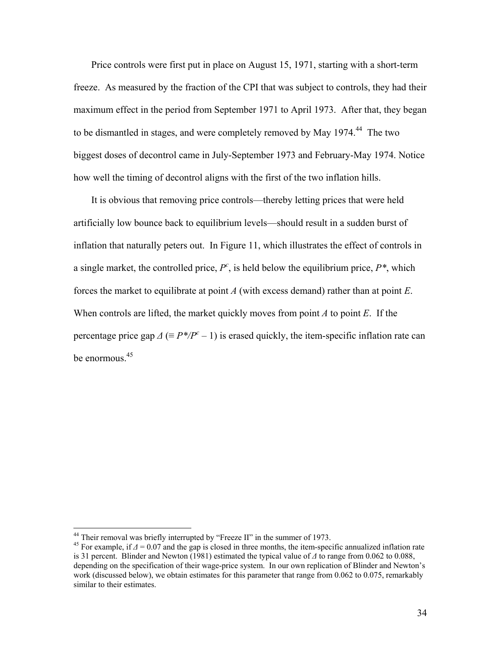Price controls were first put in place on August 15, 1971, starting with a short-term freeze. As measured by the fraction of the CPI that was subject to controls, they had their maximum effect in the period from September 1971 to April 1973. After that, they began to be dismantled in stages, and were completely removed by May 1974.<sup>44</sup> The two biggest doses of decontrol came in July-September 1973 and February-May 1974. Notice how well the timing of decontrol aligns with the first of the two inflation hills.

It is obvious that removing price controls—thereby letting prices that were held artificially low bounce back to equilibrium levels—should result in a sudden burst of inflation that naturally peters out. In Figure 11, which illustrates the effect of controls in a single market, the controlled price,  $P^c$ , is held below the equilibrium price,  $P^*$ , which forces the market to equilibrate at point *A* (with excess demand) rather than at point *E*. When controls are lifted, the market quickly moves from point *A* to point *E*. If the percentage price gap  $\Delta$  ( $\equiv P^*/P^c - 1$ ) is erased quickly, the item-specific inflation rate can be enormous.<sup>45</sup>

<sup>&</sup>lt;sup>44</sup> Their removal was briefly interrupted by "Freeze II" in the summer of 1973.

<sup>&</sup>lt;sup>45</sup> For example, if  $\Delta = 0.07$  and the gap is closed in three months, the item-specific annualized inflation rate is 31 percent. Blinder and Newton (1981) estimated the typical value of *Δ* to range from 0.062 to 0.088, depending on the specification of their wage-price system. In our own replication of Blinder and Newton's work (discussed below), we obtain estimates for this parameter that range from 0.062 to 0.075, remarkably similar to their estimates.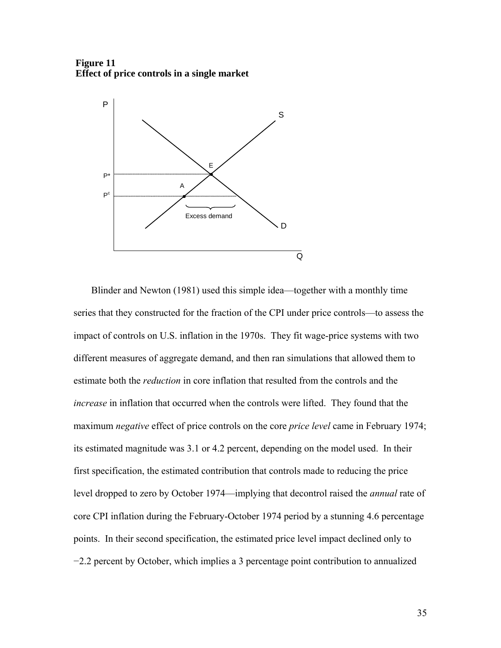**Figure 11 Effect of price controls in a single market**



Blinder and Newton (1981) used this simple idea—together with a monthly time series that they constructed for the fraction of the CPI under price controls—to assess the impact of controls on U.S. inflation in the 1970s. They fit wage-price systems with two different measures of aggregate demand, and then ran simulations that allowed them to estimate both the *reduction* in core inflation that resulted from the controls and the *increase* in inflation that occurred when the controls were lifted. They found that the maximum *negative* effect of price controls on the core *price level* came in February 1974; its estimated magnitude was 3.1 or 4.2 percent, depending on the model used. In their first specification, the estimated contribution that controls made to reducing the price level dropped to zero by October 1974—implying that decontrol raised the *annual* rate of core CPI inflation during the February-October 1974 period by a stunning 4.6 percentage points. In their second specification, the estimated price level impact declined only to −2.2 percent by October, which implies a 3 percentage point contribution to annualized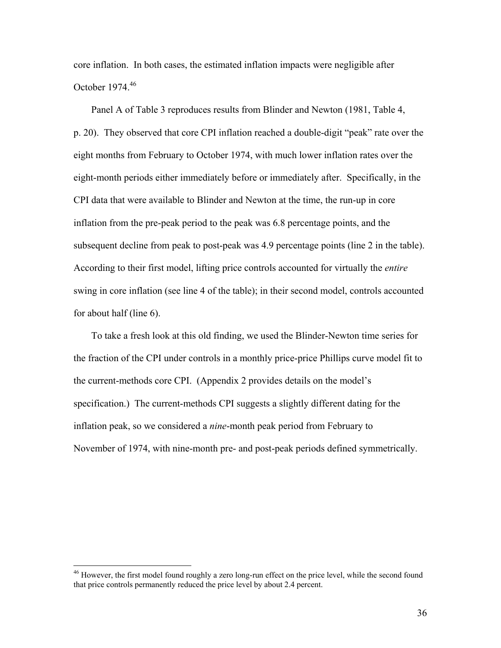core inflation. In both cases, the estimated inflation impacts were negligible after October 1974.46

Panel A of Table 3 reproduces results from Blinder and Newton (1981, Table 4, p. 20). They observed that core CPI inflation reached a double-digit "peak" rate over the eight months from February to October 1974, with much lower inflation rates over the eight-month periods either immediately before or immediately after. Specifically, in the CPI data that were available to Blinder and Newton at the time, the run-up in core inflation from the pre-peak period to the peak was 6.8 percentage points, and the subsequent decline from peak to post-peak was 4.9 percentage points (line 2 in the table). According to their first model, lifting price controls accounted for virtually the *entire* swing in core inflation (see line 4 of the table); in their second model, controls accounted for about half (line 6).

To take a fresh look at this old finding, we used the Blinder-Newton time series for the fraction of the CPI under controls in a monthly price-price Phillips curve model fit to the current-methods core CPI. (Appendix 2 provides details on the model's specification.) The current-methods CPI suggests a slightly different dating for the inflation peak, so we considered a *nine*-month peak period from February to November of 1974, with nine-month pre- and post-peak periods defined symmetrically.

<sup>&</sup>lt;sup>46</sup> However, the first model found roughly a zero long-run effect on the price level, while the second found that price controls permanently reduced the price level by about 2.4 percent.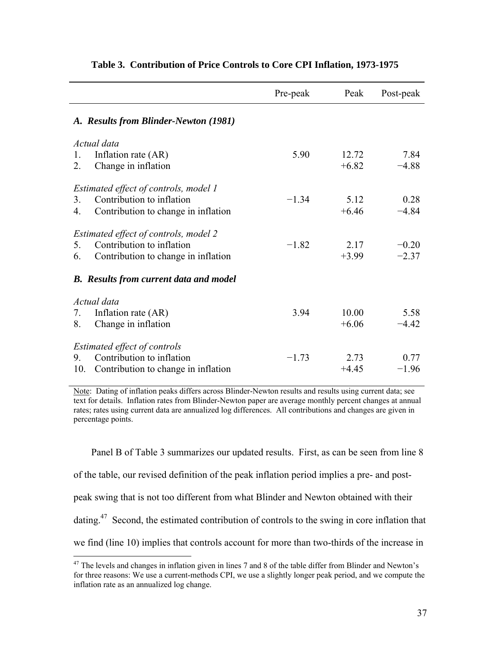|                                       |                                               | Pre-peak | Peak    | Post-peak |
|---------------------------------------|-----------------------------------------------|----------|---------|-----------|
|                                       | A. Results from Blinder-Newton (1981)         |          |         |           |
|                                       | Actual data                                   |          |         |           |
| 1.                                    | Inflation rate (AR)                           | 5.90     | 12.72   | 7.84      |
| 2.                                    | Change in inflation                           |          | $+6.82$ | $-4.88$   |
| Estimated effect of controls, model 1 |                                               |          |         |           |
| 3 <sub>1</sub>                        | Contribution to inflation                     | $-1.34$  | 5.12    | 0.28      |
| 4.                                    | Contribution to change in inflation           |          | $+6.46$ | $-4.84$   |
|                                       |                                               |          |         |           |
|                                       | Estimated effect of controls, model 2         |          |         |           |
| 5.                                    | Contribution to inflation                     | $-1.82$  | 2.17    | $-0.20$   |
| 6.                                    | Contribution to change in inflation           |          | $+3.99$ | $-2.37$   |
|                                       | <b>B.</b> Results from current data and model |          |         |           |
|                                       | Actual data                                   |          |         |           |
| 7.                                    | Inflation rate (AR)                           | 3.94     | 10.00   | 5.58      |
| 8.                                    | Change in inflation                           |          | $+6.06$ | $-4.42$   |
|                                       |                                               |          |         |           |
|                                       | Estimated effect of controls                  |          |         |           |
| 9.                                    | Contribution to inflation                     | $-1.73$  | 2.73    | 0.77      |
| 10.                                   | Contribution to change in inflation           |          | $+4.45$ | $-1.96$   |

## **Table 3. Contribution of Price Controls to Core CPI Inflation, 1973-1975**

Note: Dating of inflation peaks differs across Blinder-Newton results and results using current data; see text for details. Inflation rates from Blinder-Newton paper are average monthly percent changes at annual rates; rates using current data are annualized log differences. All contributions and changes are given in percentage points.

Panel B of Table 3 summarizes our updated results. First, as can be seen from line 8

of the table, our revised definition of the peak inflation period implies a pre- and post-

peak swing that is not too different from what Blinder and Newton obtained with their

dating.<sup>47</sup> Second, the estimated contribution of controls to the swing in core inflation that

we find (line 10) implies that controls account for more than two-thirds of the increase in

<sup>&</sup>lt;sup>47</sup> The levels and changes in inflation given in lines 7 and 8 of the table differ from Blinder and Newton's for three reasons: We use a current-methods CPI, we use a slightly longer peak period, and we compute the inflation rate as an annualized log change.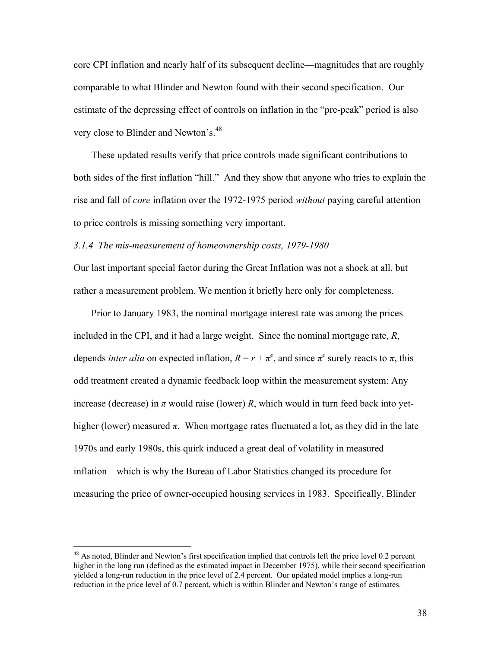core CPI inflation and nearly half of its subsequent decline—magnitudes that are roughly comparable to what Blinder and Newton found with their second specification. Our estimate of the depressing effect of controls on inflation in the "pre-peak" period is also very close to Blinder and Newton's.<sup>48</sup>

These updated results verify that price controls made significant contributions to both sides of the first inflation "hill." And they show that anyone who tries to explain the rise and fall of *core* inflation over the 1972-1975 period *without* paying careful attention to price controls is missing something very important.

*3.1.4 The mis-measurement of homeownership costs, 1979-1980* 

Our last important special factor during the Great Inflation was not a shock at all, but rather a measurement problem. We mention it briefly here only for completeness.

Prior to January 1983, the nominal mortgage interest rate was among the prices included in the CPI, and it had a large weight. Since the nominal mortgage rate, *R*, depends *inter alia* on expected inflation,  $R = r + \pi^e$ , and since  $\pi^e$  surely reacts to  $\pi$ , this odd treatment created a dynamic feedback loop within the measurement system: Any increase (decrease) in  $\pi$  would raise (lower)  $R$ , which would in turn feed back into yethigher (lower) measured *π*. When mortgage rates fluctuated a lot, as they did in the late 1970s and early 1980s, this quirk induced a great deal of volatility in measured inflation—which is why the Bureau of Labor Statistics changed its procedure for measuring the price of owner-occupied housing services in 1983. Specifically, Blinder

<sup>&</sup>lt;sup>48</sup> As noted, Blinder and Newton's first specification implied that controls left the price level 0.2 percent higher in the long run (defined as the estimated impact in December 1975), while their second specification yielded a long-run reduction in the price level of 2.4 percent. Our updated model implies a long-run reduction in the price level of 0.7 percent, which is within Blinder and Newton's range of estimates.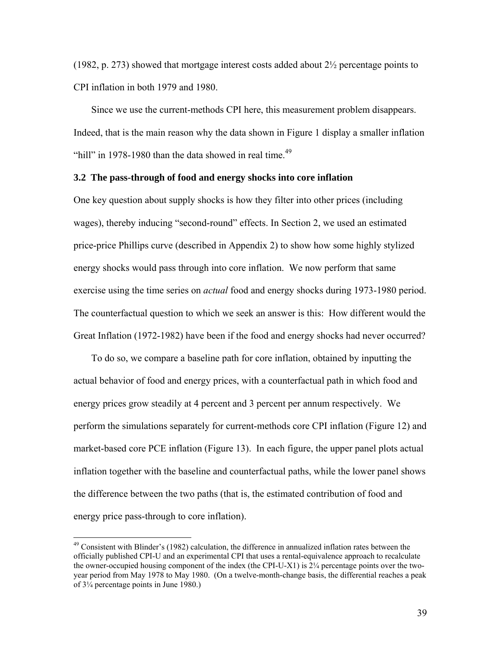(1982, p. 273) showed that mortgage interest costs added about  $2\frac{1}{2}$  percentage points to CPI inflation in both 1979 and 1980.

Since we use the current-methods CPI here, this measurement problem disappears. Indeed, that is the main reason why the data shown in Figure 1 display a smaller inflation "hill" in 1978-1980 than the data showed in real time. $49$ 

#### **3.2 The pass-through of food and energy shocks into core inflation**

One key question about supply shocks is how they filter into other prices (including wages), thereby inducing "second-round" effects. In Section 2, we used an estimated price-price Phillips curve (described in Appendix 2) to show how some highly stylized energy shocks would pass through into core inflation. We now perform that same exercise using the time series on *actual* food and energy shocks during 1973-1980 period. The counterfactual question to which we seek an answer is this: How different would the Great Inflation (1972-1982) have been if the food and energy shocks had never occurred?

To do so, we compare a baseline path for core inflation, obtained by inputting the actual behavior of food and energy prices, with a counterfactual path in which food and energy prices grow steadily at 4 percent and 3 percent per annum respectively. We perform the simulations separately for current-methods core CPI inflation (Figure 12) and market-based core PCE inflation (Figure 13). In each figure, the upper panel plots actual inflation together with the baseline and counterfactual paths, while the lower panel shows the difference between the two paths (that is, the estimated contribution of food and energy price pass-through to core inflation).

 $49$  Consistent with Blinder's (1982) calculation, the difference in annualized inflation rates between the officially published CPI-U and an experimental CPI that uses a rental-equivalence approach to recalculate the owner-occupied housing component of the index (the CPI-U-X1) is  $2\frac{1}{4}$  percentage points over the twoyear period from May 1978 to May 1980. (On a twelve-month-change basis, the differential reaches a peak of 3¼ percentage points in June 1980.)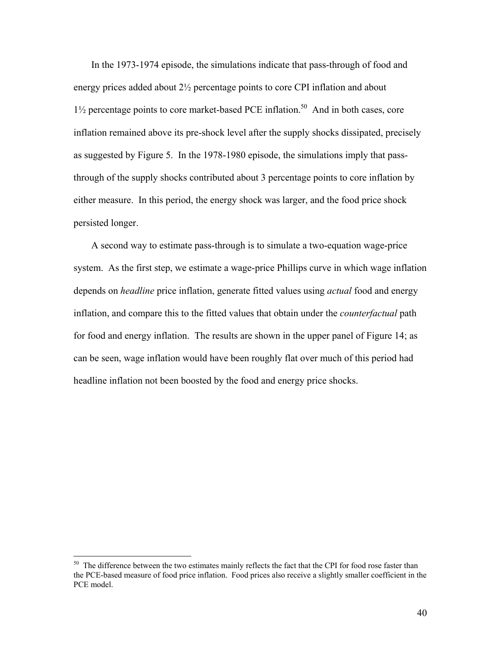In the 1973-1974 episode, the simulations indicate that pass-through of food and energy prices added about 2½ percentage points to core CPI inflation and about  $1\frac{1}{2}$  percentage points to core market-based PCE inflation.<sup>50</sup> And in both cases, core inflation remained above its pre-shock level after the supply shocks dissipated, precisely as suggested by Figure 5. In the 1978-1980 episode, the simulations imply that passthrough of the supply shocks contributed about 3 percentage points to core inflation by either measure. In this period, the energy shock was larger, and the food price shock persisted longer.

A second way to estimate pass-through is to simulate a two-equation wage-price system. As the first step, we estimate a wage-price Phillips curve in which wage inflation depends on *headline* price inflation, generate fitted values using *actual* food and energy inflation, and compare this to the fitted values that obtain under the *counterfactual* path for food and energy inflation. The results are shown in the upper panel of Figure 14; as can be seen, wage inflation would have been roughly flat over much of this period had headline inflation not been boosted by the food and energy price shocks.

<sup>&</sup>lt;sup>50</sup> The difference between the two estimates mainly reflects the fact that the CPI for food rose faster than the PCE-based measure of food price inflation. Food prices also receive a slightly smaller coefficient in the PCE model.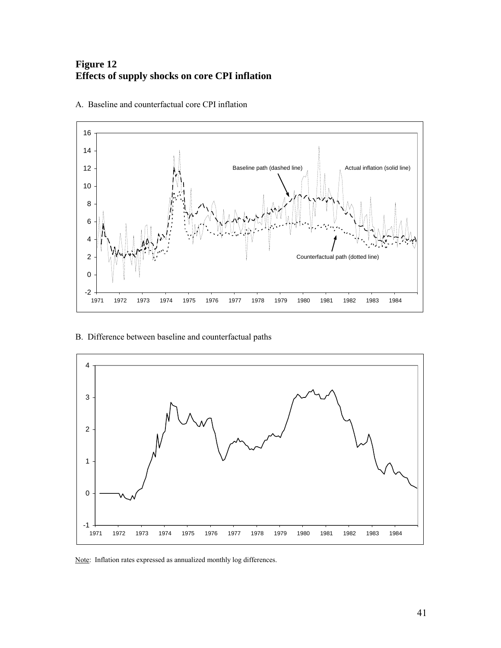# **Figure 12 Effects of supply shocks on core CPI inflation**



A. Baseline and counterfactual core CPI inflation

#### B. Difference between baseline and counterfactual paths



Note: Inflation rates expressed as annualized monthly log differences.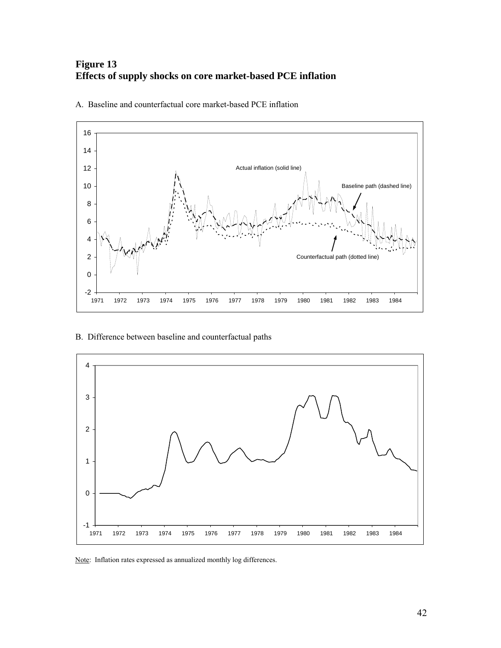# **Figure 13 Effects of supply shocks on core market-based PCE inflation**



A. Baseline and counterfactual core market-based PCE inflation

#### B. Difference between baseline and counterfactual paths



Note: Inflation rates expressed as annualized monthly log differences.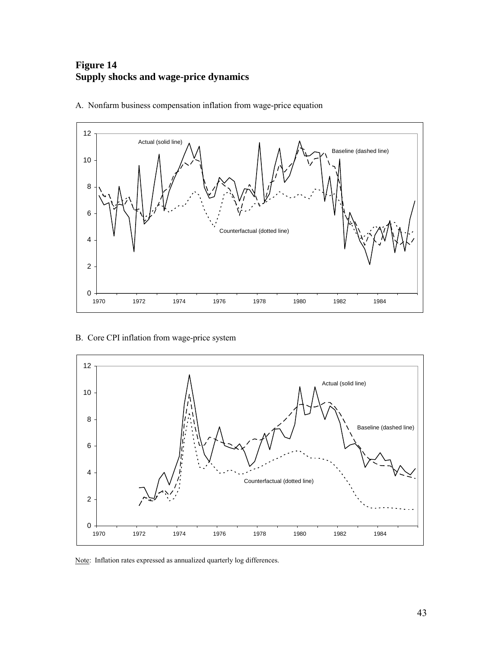# **Figure 14 Supply shocks and wage-price dynamics**



A. Nonfarm business compensation inflation from wage-price equation

## B. Core CPI inflation from wage-price system



Note: Inflation rates expressed as annualized quarterly log differences.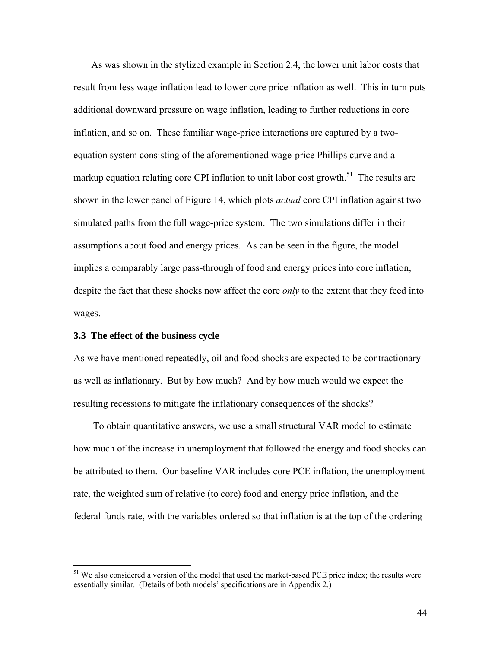As was shown in the stylized example in Section 2.4, the lower unit labor costs that result from less wage inflation lead to lower core price inflation as well. This in turn puts additional downward pressure on wage inflation, leading to further reductions in core inflation, and so on. These familiar wage-price interactions are captured by a twoequation system consisting of the aforementioned wage-price Phillips curve and a markup equation relating core CPI inflation to unit labor cost growth.<sup>51</sup> The results are shown in the lower panel of Figure 14, which plots *actual* core CPI inflation against two simulated paths from the full wage-price system. The two simulations differ in their assumptions about food and energy prices. As can be seen in the figure, the model implies a comparably large pass-through of food and energy prices into core inflation, despite the fact that these shocks now affect the core *only* to the extent that they feed into wages.

### **3.3 The effect of the business cycle**

1

As we have mentioned repeatedly, oil and food shocks are expected to be contractionary as well as inflationary. But by how much? And by how much would we expect the resulting recessions to mitigate the inflationary consequences of the shocks?

 To obtain quantitative answers, we use a small structural VAR model to estimate how much of the increase in unemployment that followed the energy and food shocks can be attributed to them. Our baseline VAR includes core PCE inflation, the unemployment rate, the weighted sum of relative (to core) food and energy price inflation, and the federal funds rate, with the variables ordered so that inflation is at the top of the ordering

<sup>&</sup>lt;sup>51</sup> We also considered a version of the model that used the market-based PCE price index; the results were essentially similar. (Details of both models' specifications are in Appendix 2.)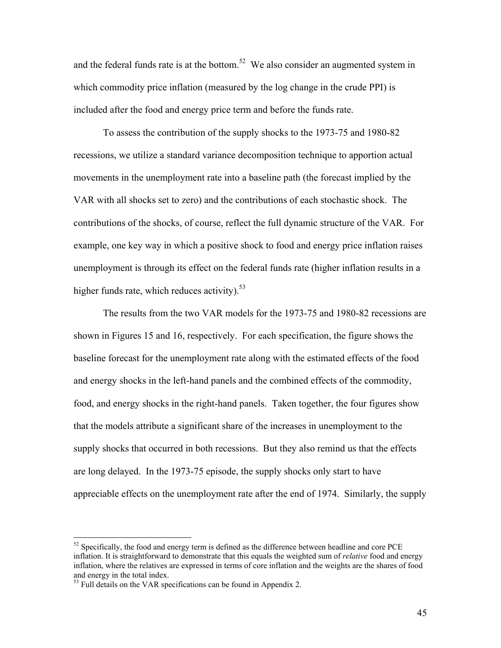and the federal funds rate is at the bottom.<sup>52</sup> We also consider an augmented system in which commodity price inflation (measured by the log change in the crude PPI) is included after the food and energy price term and before the funds rate.

 To assess the contribution of the supply shocks to the 1973-75 and 1980-82 recessions, we utilize a standard variance decomposition technique to apportion actual movements in the unemployment rate into a baseline path (the forecast implied by the VAR with all shocks set to zero) and the contributions of each stochastic shock. The contributions of the shocks, of course, reflect the full dynamic structure of the VAR. For example, one key way in which a positive shock to food and energy price inflation raises unemployment is through its effect on the federal funds rate (higher inflation results in a higher funds rate, which reduces activity). $53$ 

 The results from the two VAR models for the 1973-75 and 1980-82 recessions are shown in Figures 15 and 16, respectively. For each specification, the figure shows the baseline forecast for the unemployment rate along with the estimated effects of the food and energy shocks in the left-hand panels and the combined effects of the commodity, food, and energy shocks in the right-hand panels. Taken together, the four figures show that the models attribute a significant share of the increases in unemployment to the supply shocks that occurred in both recessions. But they also remind us that the effects are long delayed. In the 1973-75 episode, the supply shocks only start to have appreciable effects on the unemployment rate after the end of 1974. Similarly, the supply

 $52$  Specifically, the food and energy term is defined as the difference between headline and core PCE inflation. It is straightforward to demonstrate that this equals the weighted sum of *relative* food and energy inflation, where the relatives are expressed in terms of core inflation and the weights are the shares of food and energy in the total index.

<sup>&</sup>lt;sup>53</sup> Full details on the VAR specifications can be found in Appendix 2.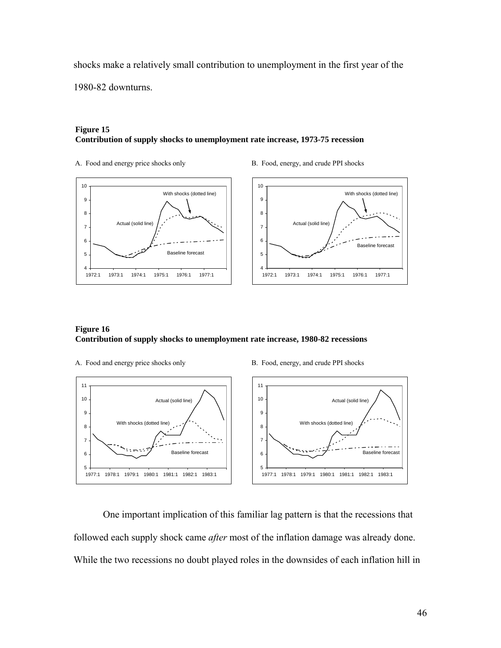shocks make a relatively small contribution to unemployment in the first year of the 1980-82 downturns.

#### **Figure 15 Contribution of supply shocks to unemployment rate increase, 1973-75 recession**

A. Food and energy price shocks only B. Food, energy, and crude PPI shocks





## **Figure 16 Contribution of supply shocks to unemployment rate increase, 1980-82 recessions**

A. Food and energy price shocks only B. Food, energy, and crude PPI shocks



 One important implication of this familiar lag pattern is that the recessions that followed each supply shock came *after* most of the inflation damage was already done. While the two recessions no doubt played roles in the downsides of each inflation hill in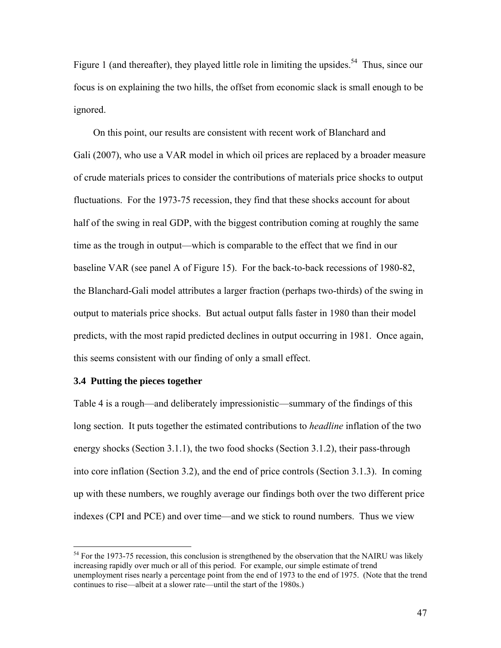Figure 1 (and thereafter), they played little role in limiting the upsides.<sup>54</sup> Thus, since our focus is on explaining the two hills, the offset from economic slack is small enough to be ignored.

 On this point, our results are consistent with recent work of Blanchard and Gali (2007), who use a VAR model in which oil prices are replaced by a broader measure of crude materials prices to consider the contributions of materials price shocks to output fluctuations. For the 1973-75 recession, they find that these shocks account for about half of the swing in real GDP, with the biggest contribution coming at roughly the same time as the trough in output—which is comparable to the effect that we find in our baseline VAR (see panel A of Figure 15). For the back-to-back recessions of 1980-82, the Blanchard-Gali model attributes a larger fraction (perhaps two-thirds) of the swing in output to materials price shocks. But actual output falls faster in 1980 than their model predicts, with the most rapid predicted declines in output occurring in 1981. Once again, this seems consistent with our finding of only a small effect.

#### **3.4 Putting the pieces together**

 $\overline{a}$ 

Table 4 is a rough—and deliberately impressionistic—summary of the findings of this long section. It puts together the estimated contributions to *headline* inflation of the two energy shocks (Section 3.1.1), the two food shocks (Section 3.1.2), their pass-through into core inflation (Section 3.2), and the end of price controls (Section 3.1.3). In coming up with these numbers, we roughly average our findings both over the two different price indexes (CPI and PCE) and over time—and we stick to round numbers. Thus we view

 $54$  For the 1973-75 recession, this conclusion is strengthened by the observation that the NAIRU was likely increasing rapidly over much or all of this period. For example, our simple estimate of trend unemployment rises nearly a percentage point from the end of 1973 to the end of 1975. (Note that the trend continues to rise—albeit at a slower rate—until the start of the 1980s.)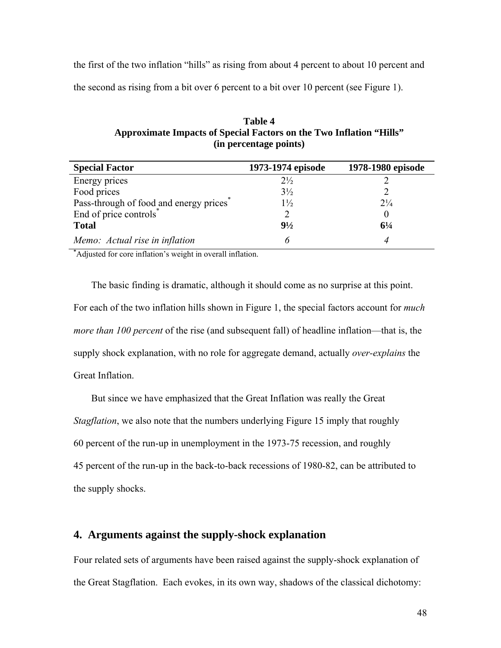the first of the two inflation "hills" as rising from about 4 percent to about 10 percent and the second as rising from a bit over 6 percent to a bit over 10 percent (see Figure 1).

| Table 4                                                             |  |  |  |  |
|---------------------------------------------------------------------|--|--|--|--|
| Approximate Impacts of Special Factors on the Two Inflation "Hills" |  |  |  |  |
| (in percentage points)                                              |  |  |  |  |

| <b>Special Factor</b>                  | 1973-1974 episode | 1978-1980 episode |
|----------------------------------------|-------------------|-------------------|
| Energy prices                          | $2\frac{1}{2}$    |                   |
| Food prices                            | $3\frac{1}{2}$    |                   |
| Pass-through of food and energy prices | $1\frac{1}{2}$    | $2\frac{1}{4}$    |
| End of price controls <sup>*</sup>     |                   |                   |
| <b>Total</b>                           | 91/2              | $6\frac{1}{4}$    |
| Memo: Actual rise in inflation         |                   |                   |

**\*** Adjusted for core inflation's weight in overall inflation.

The basic finding is dramatic, although it should come as no surprise at this point. For each of the two inflation hills shown in Figure 1, the special factors account for *much more than 100 percent* of the rise (and subsequent fall) of headline inflation—that is, the supply shock explanation, with no role for aggregate demand, actually *over-explains* the Great Inflation.

But since we have emphasized that the Great Inflation was really the Great

*Stagflation*, we also note that the numbers underlying Figure 15 imply that roughly

60 percent of the run-up in unemployment in the 1973-75 recession, and roughly

45 percent of the run-up in the back-to-back recessions of 1980-82, can be attributed to

the supply shocks.

## **4. Arguments against the supply-shock explanation**

Four related sets of arguments have been raised against the supply-shock explanation of the Great Stagflation. Each evokes, in its own way, shadows of the classical dichotomy: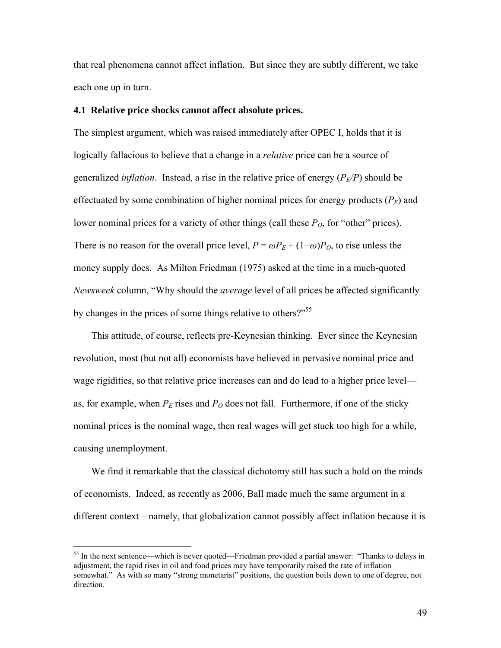that real phenomena cannot affect inflation. But since they are subtly different, we take each one up in turn.

#### **4.1 Relative price shocks cannot affect absolute prices.**

The simplest argument, which was raised immediately after OPEC I, holds that it is logically fallacious to believe that a change in a *relative* price can be a source of generalized *inflation*. Instead, a rise in the relative price of energy  $(P_F/P)$  should be effectuated by some combination of higher nominal prices for energy products  $(P_E)$  and lower nominal prices for a variety of other things (call these  $P<sub>O</sub>$ , for "other" prices). There is no reason for the overall price level,  $P = \omega P_E + (1-\omega)P_O$ , to rise unless the money supply does. As Milton Friedman (1975) asked at the time in a much-quoted *Newsweek* column, "Why should the *average* level of all prices be affected significantly by changes in the prices of some things relative to others?"<sup>55</sup>

This attitude, of course, reflects pre-Keynesian thinking. Ever since the Keynesian revolution, most (but not all) economists have believed in pervasive nominal price and wage rigidities, so that relative price increases can and do lead to a higher price level as, for example, when  $P_E$  rises and  $P_O$  does not fall. Furthermore, if one of the sticky nominal prices is the nominal wage, then real wages will get stuck too high for a while, causing unemployment.

We find it remarkable that the classical dichotomy still has such a hold on the minds of economists. Indeed, as recently as 2006, Ball made much the same argument in a different context—namely, that globalization cannot possibly affect inflation because it is

<sup>&</sup>lt;sup>55</sup> In the next sentence—which is never quoted—Friedman provided a partial answer: "Thanks to delays in adjustment, the rapid rises in oil and food prices may have temporarily raised the rate of inflation somewhat." As with so many "strong monetarist" positions, the question boils down to one of degree, not direction.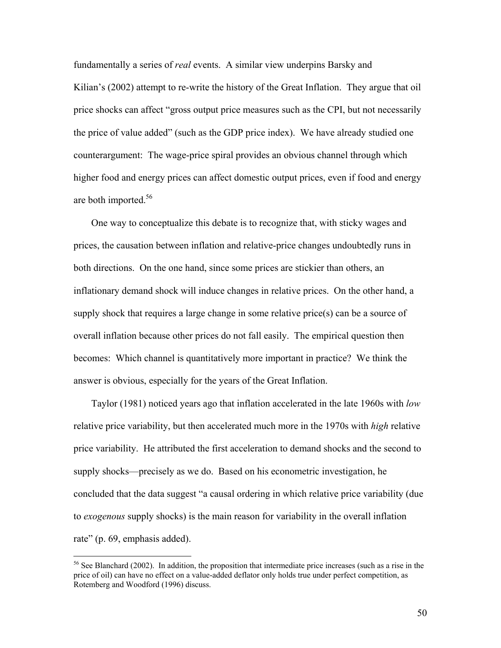fundamentally a series of *real* events. A similar view underpins Barsky and Kilian's (2002) attempt to re-write the history of the Great Inflation. They argue that oil price shocks can affect "gross output price measures such as the CPI, but not necessarily the price of value added" (such as the GDP price index). We have already studied one counterargument: The wage-price spiral provides an obvious channel through which higher food and energy prices can affect domestic output prices, even if food and energy are both imported.56

One way to conceptualize this debate is to recognize that, with sticky wages and prices, the causation between inflation and relative-price changes undoubtedly runs in both directions. On the one hand, since some prices are stickier than others, an inflationary demand shock will induce changes in relative prices. On the other hand, a supply shock that requires a large change in some relative price(s) can be a source of overall inflation because other prices do not fall easily. The empirical question then becomes: Which channel is quantitatively more important in practice? We think the answer is obvious, especially for the years of the Great Inflation.

Taylor (1981) noticed years ago that inflation accelerated in the late 1960s with *low*  relative price variability, but then accelerated much more in the 1970s with *high* relative price variability. He attributed the first acceleration to demand shocks and the second to supply shocks—precisely as we do. Based on his econometric investigation, he concluded that the data suggest "a causal ordering in which relative price variability (due to *exogenous* supply shocks) is the main reason for variability in the overall inflation rate" (p. 69, emphasis added).

<sup>&</sup>lt;sup>56</sup> See Blanchard (2002). In addition, the proposition that intermediate price increases (such as a rise in the price of oil) can have no effect on a value-added deflator only holds true under perfect competition, as Rotemberg and Woodford (1996) discuss.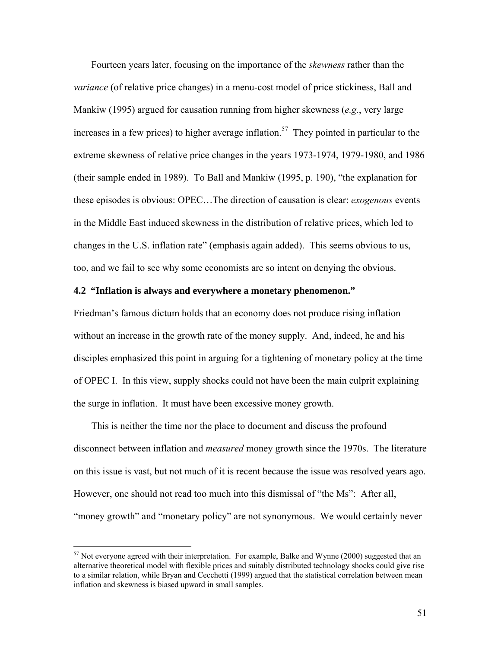Fourteen years later, focusing on the importance of the *skewness* rather than the *variance* (of relative price changes) in a menu-cost model of price stickiness, Ball and Mankiw (1995) argued for causation running from higher skewness (*e.g.*, very large increases in a few prices) to higher average inflation.<sup>57</sup> They pointed in particular to the extreme skewness of relative price changes in the years 1973-1974, 1979-1980, and 1986 (their sample ended in 1989). To Ball and Mankiw (1995, p. 190), "the explanation for these episodes is obvious: OPEC…The direction of causation is clear: *exogenous* events in the Middle East induced skewness in the distribution of relative prices, which led to changes in the U.S. inflation rate" (emphasis again added). This seems obvious to us, too, and we fail to see why some economists are so intent on denying the obvious.

## **4.2 "Inflation is always and everywhere a monetary phenomenon."**

Friedman's famous dictum holds that an economy does not produce rising inflation without an increase in the growth rate of the money supply. And, indeed, he and his disciples emphasized this point in arguing for a tightening of monetary policy at the time of OPEC I. In this view, supply shocks could not have been the main culprit explaining the surge in inflation. It must have been excessive money growth.

This is neither the time nor the place to document and discuss the profound disconnect between inflation and *measured* money growth since the 1970s. The literature on this issue is vast, but not much of it is recent because the issue was resolved years ago. However, one should not read too much into this dismissal of "the Ms": After all, "money growth" and "monetary policy" are not synonymous. We would certainly never

 $57$  Not everyone agreed with their interpretation. For example, Balke and Wynne (2000) suggested that an alternative theoretical model with flexible prices and suitably distributed technology shocks could give rise to a similar relation, while Bryan and Cecchetti (1999) argued that the statistical correlation between mean inflation and skewness is biased upward in small samples.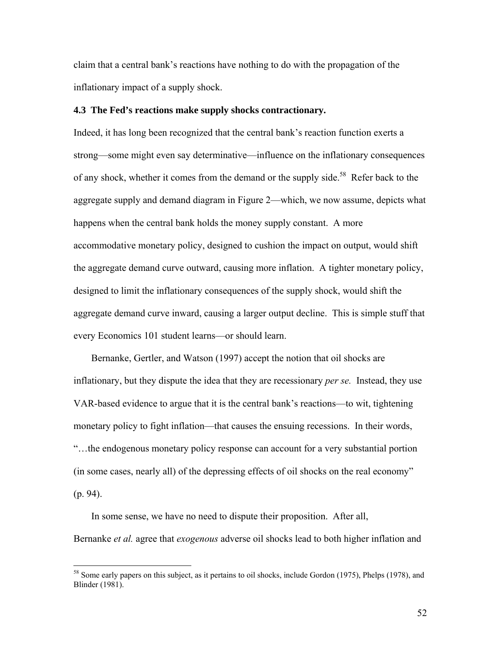claim that a central bank's reactions have nothing to do with the propagation of the inflationary impact of a supply shock.

#### **4.3 The Fed's reactions make supply shocks contractionary.**

Indeed, it has long been recognized that the central bank's reaction function exerts a strong—some might even say determinative—influence on the inflationary consequences of any shock, whether it comes from the demand or the supply side.<sup>58</sup> Refer back to the aggregate supply and demand diagram in Figure 2—which, we now assume, depicts what happens when the central bank holds the money supply constant. A more accommodative monetary policy, designed to cushion the impact on output, would shift the aggregate demand curve outward, causing more inflation. A tighter monetary policy, designed to limit the inflationary consequences of the supply shock, would shift the aggregate demand curve inward, causing a larger output decline. This is simple stuff that every Economics 101 student learns—or should learn.

Bernanke, Gertler, and Watson (1997) accept the notion that oil shocks are inflationary, but they dispute the idea that they are recessionary *per se.* Instead, they use VAR-based evidence to argue that it is the central bank's reactions—to wit, tightening monetary policy to fight inflation—that causes the ensuing recessions. In their words, "…the endogenous monetary policy response can account for a very substantial portion (in some cases, nearly all) of the depressing effects of oil shocks on the real economy" (p. 94).

In some sense, we have no need to dispute their proposition. After all, Bernanke *et al.* agree that *exogenous* adverse oil shocks lead to both higher inflation and

<sup>&</sup>lt;sup>58</sup> Some early papers on this subject, as it pertains to oil shocks, include Gordon (1975), Phelps (1978), and Blinder (1981).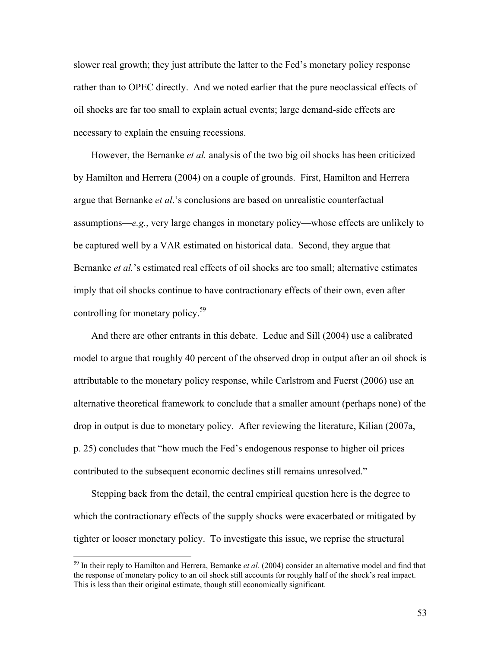slower real growth; they just attribute the latter to the Fed's monetary policy response rather than to OPEC directly. And we noted earlier that the pure neoclassical effects of oil shocks are far too small to explain actual events; large demand-side effects are necessary to explain the ensuing recessions.

However, the Bernanke *et al.* analysis of the two big oil shocks has been criticized by Hamilton and Herrera (2004) on a couple of grounds. First, Hamilton and Herrera argue that Bernanke *et al*.'s conclusions are based on unrealistic counterfactual assumptions—*e.g.*, very large changes in monetary policy—whose effects are unlikely to be captured well by a VAR estimated on historical data. Second, they argue that Bernanke *et al.*'s estimated real effects of oil shocks are too small; alternative estimates imply that oil shocks continue to have contractionary effects of their own, even after controlling for monetary policy.<sup>59</sup>

And there are other entrants in this debate. Leduc and Sill (2004) use a calibrated model to argue that roughly 40 percent of the observed drop in output after an oil shock is attributable to the monetary policy response, while Carlstrom and Fuerst (2006) use an alternative theoretical framework to conclude that a smaller amount (perhaps none) of the drop in output is due to monetary policy. After reviewing the literature, Kilian (2007a, p. 25) concludes that "how much the Fed's endogenous response to higher oil prices contributed to the subsequent economic declines still remains unresolved."

Stepping back from the detail, the central empirical question here is the degree to which the contractionary effects of the supply shocks were exacerbated or mitigated by tighter or looser monetary policy. To investigate this issue, we reprise the structural

<sup>59</sup> In their reply to Hamilton and Herrera, Bernanke *et al.* (2004) consider an alternative model and find that the response of monetary policy to an oil shock still accounts for roughly half of the shock's real impact. This is less than their original estimate, though still economically significant.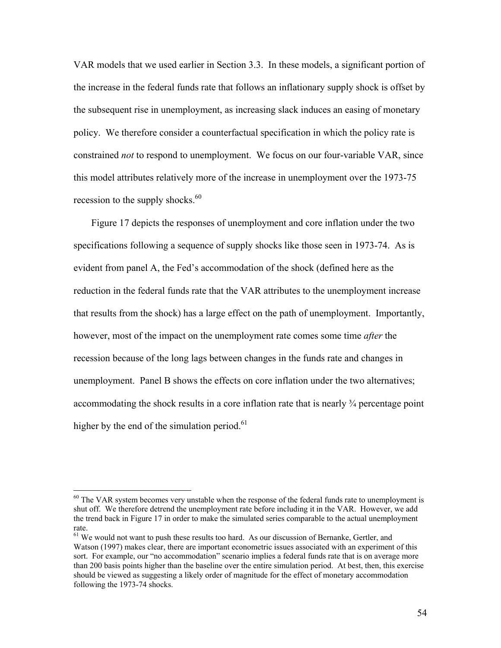VAR models that we used earlier in Section 3.3. In these models, a significant portion of the increase in the federal funds rate that follows an inflationary supply shock is offset by the subsequent rise in unemployment, as increasing slack induces an easing of monetary policy. We therefore consider a counterfactual specification in which the policy rate is constrained *not* to respond to unemployment. We focus on our four-variable VAR, since this model attributes relatively more of the increase in unemployment over the 1973-75 recession to the supply shocks. $^{60}$ 

Figure 17 depicts the responses of unemployment and core inflation under the two specifications following a sequence of supply shocks like those seen in 1973-74. As is evident from panel A, the Fed's accommodation of the shock (defined here as the reduction in the federal funds rate that the VAR attributes to the unemployment increase that results from the shock) has a large effect on the path of unemployment. Importantly, however, most of the impact on the unemployment rate comes some time *after* the recession because of the long lags between changes in the funds rate and changes in unemployment. Panel B shows the effects on core inflation under the two alternatives; accommodating the shock results in a core inflation rate that is nearly  $\frac{3}{4}$  percentage point higher by the end of the simulation period. $<sup>61</sup>$ </sup>

 $60$  The VAR system becomes very unstable when the response of the federal funds rate to unemployment is shut off. We therefore detrend the unemployment rate before including it in the VAR. However, we add the trend back in Figure 17 in order to make the simulated series comparable to the actual unemployment rate.

<sup>&</sup>lt;sup>61</sup> We would not want to push these results too hard. As our discussion of Bernanke, Gertler, and Watson (1997) makes clear, there are important econometric issues associated with an experiment of this sort. For example, our "no accommodation" scenario implies a federal funds rate that is on average more than 200 basis points higher than the baseline over the entire simulation period. At best, then, this exercise should be viewed as suggesting a likely order of magnitude for the effect of monetary accommodation following the 1973-74 shocks.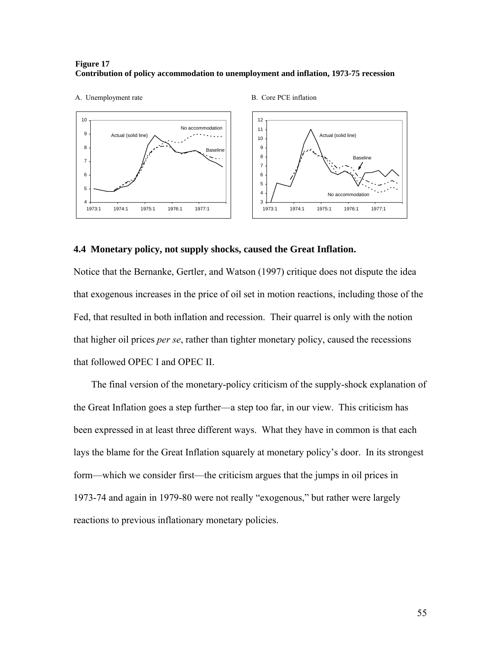#### **Figure 17 Contribution of policy accommodation to unemployment and inflation, 1973-75 recession**





## **4.4 Monetary policy, not supply shocks, caused the Great Inflation.**

Notice that the Bernanke, Gertler, and Watson (1997) critique does not dispute the idea that exogenous increases in the price of oil set in motion reactions, including those of the Fed, that resulted in both inflation and recession. Their quarrel is only with the notion that higher oil prices *per se*, rather than tighter monetary policy, caused the recessions that followed OPEC I and OPEC II.

The final version of the monetary-policy criticism of the supply-shock explanation of the Great Inflation goes a step further—a step too far, in our view. This criticism has been expressed in at least three different ways. What they have in common is that each lays the blame for the Great Inflation squarely at monetary policy's door. In its strongest form—which we consider first—the criticism argues that the jumps in oil prices in 1973-74 and again in 1979-80 were not really "exogenous," but rather were largely reactions to previous inflationary monetary policies.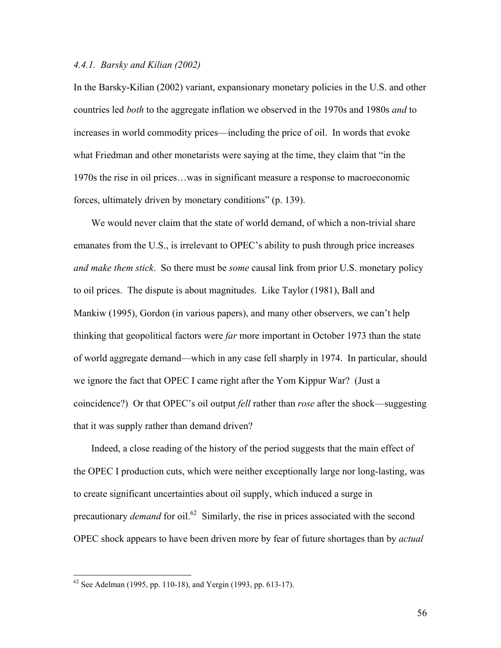### *4.4.1. Barsky and Kilian (2002)*

In the Barsky-Kilian (2002) variant, expansionary monetary policies in the U.S. and other countries led *both* to the aggregate inflation we observed in the 1970s and 1980s *and* to increases in world commodity prices—including the price of oil. In words that evoke what Friedman and other monetarists were saying at the time, they claim that "in the 1970s the rise in oil prices…was in significant measure a response to macroeconomic forces, ultimately driven by monetary conditions" (p. 139).

We would never claim that the state of world demand, of which a non-trivial share emanates from the U.S., is irrelevant to OPEC's ability to push through price increases *and make them stick*. So there must be *some* causal link from prior U.S. monetary policy to oil prices. The dispute is about magnitudes. Like Taylor (1981), Ball and Mankiw (1995), Gordon (in various papers), and many other observers, we can't help thinking that geopolitical factors were *far* more important in October 1973 than the state of world aggregate demand—which in any case fell sharply in 1974. In particular, should we ignore the fact that OPEC I came right after the Yom Kippur War? (Just a coincidence?) Or that OPEC's oil output *fell* rather than *rose* after the shock—suggesting that it was supply rather than demand driven?

Indeed, a close reading of the history of the period suggests that the main effect of the OPEC I production cuts, which were neither exceptionally large nor long-lasting, was to create significant uncertainties about oil supply, which induced a surge in precautionary *demand* for oil.<sup>62</sup> Similarly, the rise in prices associated with the second OPEC shock appears to have been driven more by fear of future shortages than by *actual*

<u>.</u>

 $62$  See Adelman (1995, pp. 110-18), and Yergin (1993, pp. 613-17).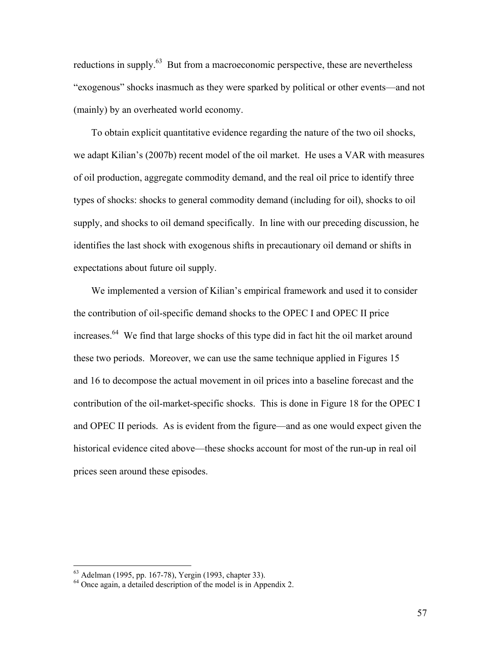reductions in supply.<sup>63</sup> But from a macroeconomic perspective, these are nevertheless "exogenous" shocks inasmuch as they were sparked by political or other events—and not (mainly) by an overheated world economy.

To obtain explicit quantitative evidence regarding the nature of the two oil shocks, we adapt Kilian's (2007b) recent model of the oil market. He uses a VAR with measures of oil production, aggregate commodity demand, and the real oil price to identify three types of shocks: shocks to general commodity demand (including for oil), shocks to oil supply, and shocks to oil demand specifically. In line with our preceding discussion, he identifies the last shock with exogenous shifts in precautionary oil demand or shifts in expectations about future oil supply.

We implemented a version of Kilian's empirical framework and used it to consider the contribution of oil-specific demand shocks to the OPEC I and OPEC II price increases.<sup>64</sup> We find that large shocks of this type did in fact hit the oil market around these two periods. Moreover, we can use the same technique applied in Figures 15 and 16 to decompose the actual movement in oil prices into a baseline forecast and the contribution of the oil-market-specific shocks. This is done in Figure 18 for the OPEC I and OPEC II periods. As is evident from the figure—and as one would expect given the historical evidence cited above—these shocks account for most of the run-up in real oil prices seen around these episodes.

<sup>63</sup> Adelman (1995, pp. 167-78), Yergin (1993, chapter 33).

<sup>64</sup> Once again, a detailed description of the model is in Appendix 2.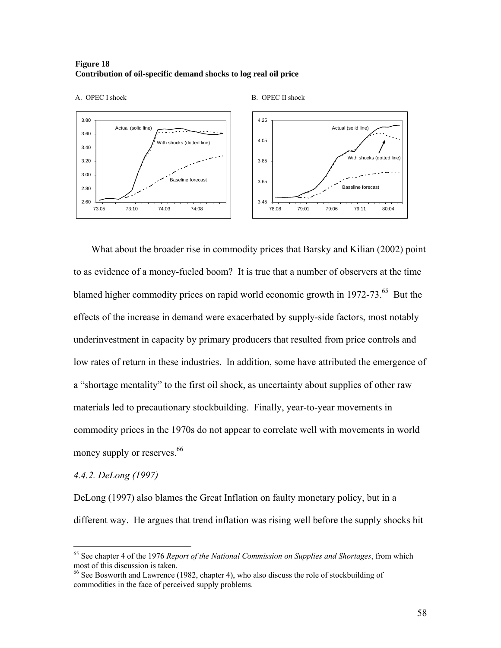#### **Figure 18 Contribution of oil-specific demand shocks to log real oil price**







What about the broader rise in commodity prices that Barsky and Kilian (2002) point to as evidence of a money-fueled boom? It is true that a number of observers at the time blamed higher commodity prices on rapid world economic growth in 1972-73.<sup>65</sup> But the effects of the increase in demand were exacerbated by supply-side factors, most notably underinvestment in capacity by primary producers that resulted from price controls and low rates of return in these industries. In addition, some have attributed the emergence of a "shortage mentality" to the first oil shock, as uncertainty about supplies of other raw materials led to precautionary stockbuilding. Finally, year-to-year movements in commodity prices in the 1970s do not appear to correlate well with movements in world money supply or reserves.<sup>66</sup>

## *4.4.2. DeLong (1997)*

 $\overline{a}$ 

DeLong (1997) also blames the Great Inflation on faulty monetary policy, but in a different way. He argues that trend inflation was rising well before the supply shocks hit

<sup>65</sup> See chapter 4 of the 1976 *Report of the National Commission on Supplies and Shortages*, from which most of this discussion is taken.

 $<sup>66</sup>$  See Bosworth and Lawrence (1982, chapter 4), who also discuss the role of stockbuilding of</sup> commodities in the face of perceived supply problems.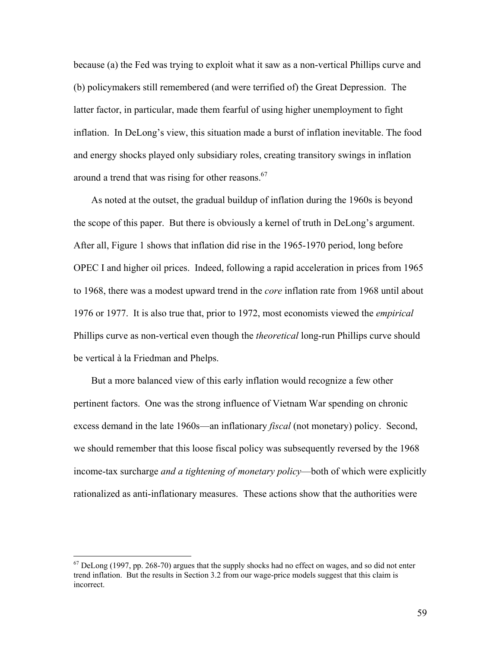because (a) the Fed was trying to exploit what it saw as a non-vertical Phillips curve and (b) policymakers still remembered (and were terrified of) the Great Depression. The latter factor, in particular, made them fearful of using higher unemployment to fight inflation. In DeLong's view, this situation made a burst of inflation inevitable. The food and energy shocks played only subsidiary roles, creating transitory swings in inflation around a trend that was rising for other reasons.<sup>67</sup>

As noted at the outset, the gradual buildup of inflation during the 1960s is beyond the scope of this paper. But there is obviously a kernel of truth in DeLong's argument. After all, Figure 1 shows that inflation did rise in the 1965-1970 period, long before OPEC I and higher oil prices. Indeed, following a rapid acceleration in prices from 1965 to 1968, there was a modest upward trend in the *core* inflation rate from 1968 until about 1976 or 1977. It is also true that, prior to 1972, most economists viewed the *empirical* Phillips curve as non-vertical even though the *theoretical* long-run Phillips curve should be vertical à la Friedman and Phelps.

But a more balanced view of this early inflation would recognize a few other pertinent factors. One was the strong influence of Vietnam War spending on chronic excess demand in the late 1960s—an inflationary *fiscal* (not monetary) policy. Second, we should remember that this loose fiscal policy was subsequently reversed by the 1968 income-tax surcharge *and a tightening of monetary policy*—both of which were explicitly rationalized as anti-inflationary measures. These actions show that the authorities were

 $67$  DeLong (1997, pp. 268-70) argues that the supply shocks had no effect on wages, and so did not enter trend inflation. But the results in Section 3.2 from our wage-price models suggest that this claim is incorrect.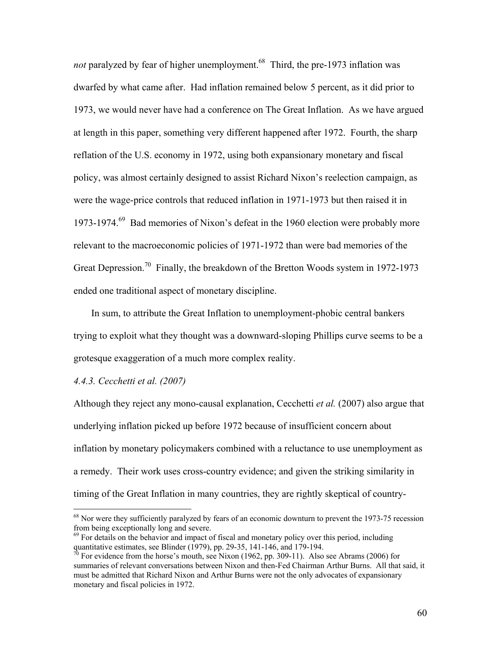*not* paralyzed by fear of higher unemployment.<sup>68</sup> Third, the pre-1973 inflation was dwarfed by what came after. Had inflation remained below 5 percent, as it did prior to 1973, we would never have had a conference on The Great Inflation. As we have argued at length in this paper, something very different happened after 1972. Fourth, the sharp reflation of the U.S. economy in 1972, using both expansionary monetary and fiscal policy, was almost certainly designed to assist Richard Nixon's reelection campaign, as were the wage-price controls that reduced inflation in 1971-1973 but then raised it in 1973-1974.69 Bad memories of Nixon's defeat in the 1960 election were probably more relevant to the macroeconomic policies of 1971-1972 than were bad memories of the Great Depression.<sup>70</sup> Finally, the breakdown of the Bretton Woods system in 1972-1973 ended one traditional aspect of monetary discipline.

In sum, to attribute the Great Inflation to unemployment-phobic central bankers trying to exploit what they thought was a downward-sloping Phillips curve seems to be a grotesque exaggeration of a much more complex reality.

#### *4.4.3. Cecchetti et al. (2007)*

1

Although they reject any mono-causal explanation, Cecchetti *et al.* (2007) also argue that underlying inflation picked up before 1972 because of insufficient concern about inflation by monetary policymakers combined with a reluctance to use unemployment as a remedy. Their work uses cross-country evidence; and given the striking similarity in timing of the Great Inflation in many countries, they are rightly skeptical of country-

 $68$  Nor were they sufficiently paralyzed by fears of an economic downturn to prevent the 1973-75 recession from being exceptionally long and severe.

 $69$  For details on the behavior and impact of fiscal and monetary policy over this period, including quantitative estimates, see Blinder (1979), pp. 29-35, 141-146, and 179-194.

 $70$  For evidence from the horse's mouth, see Nixon (1962, pp. 309-11). Also see Abrams (2006) for summaries of relevant conversations between Nixon and then-Fed Chairman Arthur Burns. All that said, it must be admitted that Richard Nixon and Arthur Burns were not the only advocates of expansionary monetary and fiscal policies in 1972.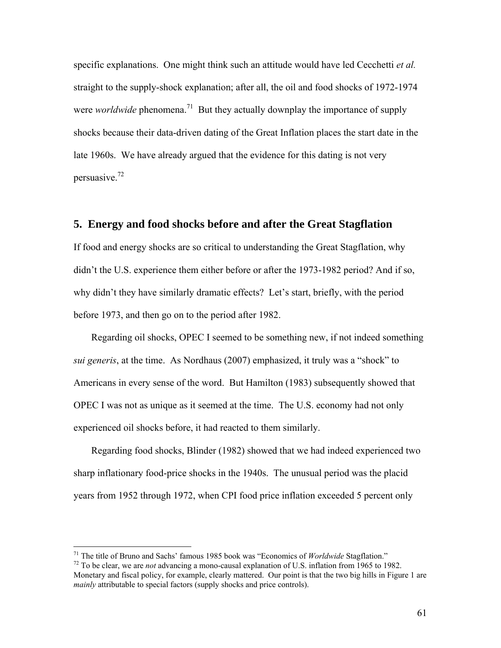specific explanations. One might think such an attitude would have led Cecchetti *et al.* straight to the supply-shock explanation; after all, the oil and food shocks of 1972-1974 were *worldwide* phenomena.<sup>71</sup> But they actually downplay the importance of supply shocks because their data-driven dating of the Great Inflation places the start date in the late 1960s. We have already argued that the evidence for this dating is not very persuasive.72

## **5. Energy and food shocks before and after the Great Stagflation**

If food and energy shocks are so critical to understanding the Great Stagflation, why didn't the U.S. experience them either before or after the 1973-1982 period? And if so, why didn't they have similarly dramatic effects? Let's start, briefly, with the period before 1973, and then go on to the period after 1982.

Regarding oil shocks, OPEC I seemed to be something new, if not indeed something *sui generis*, at the time. As Nordhaus (2007) emphasized, it truly was a "shock" to Americans in every sense of the word. But Hamilton (1983) subsequently showed that OPEC I was not as unique as it seemed at the time. The U.S. economy had not only experienced oil shocks before, it had reacted to them similarly.

Regarding food shocks, Blinder (1982) showed that we had indeed experienced two sharp inflationary food-price shocks in the 1940s. The unusual period was the placid years from 1952 through 1972, when CPI food price inflation exceeded 5 percent only

 $71$  The title of Bruno and Sachs' famous 1985 book was "Economics of *Worldwide* Stagflation."

<sup>&</sup>lt;sup>72</sup> To be clear, we are *not* advancing a mono-causal explanation of U.S. inflation from 1965 to 1982. Monetary and fiscal policy, for example, clearly mattered. Our point is that the two big hills in Figure 1 are *mainly* attributable to special factors (supply shocks and price controls).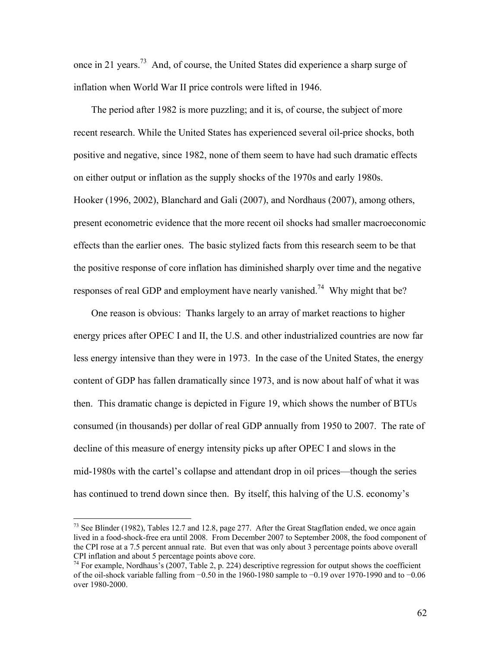once in 21 years.73 And, of course, the United States did experience a sharp surge of inflation when World War II price controls were lifted in 1946.

The period after 1982 is more puzzling; and it is, of course, the subject of more recent research. While the United States has experienced several oil-price shocks, both positive and negative, since 1982, none of them seem to have had such dramatic effects on either output or inflation as the supply shocks of the 1970s and early 1980s. Hooker (1996, 2002), Blanchard and Gali (2007), and Nordhaus (2007), among others, present econometric evidence that the more recent oil shocks had smaller macroeconomic effects than the earlier ones. The basic stylized facts from this research seem to be that the positive response of core inflation has diminished sharply over time and the negative responses of real GDP and employment have nearly vanished.<sup>74</sup> Why might that be?

One reason is obvious: Thanks largely to an array of market reactions to higher energy prices after OPEC I and II, the U.S. and other industrialized countries are now far less energy intensive than they were in 1973. In the case of the United States, the energy content of GDP has fallen dramatically since 1973, and is now about half of what it was then. This dramatic change is depicted in Figure 19, which shows the number of BTUs consumed (in thousands) per dollar of real GDP annually from 1950 to 2007. The rate of decline of this measure of energy intensity picks up after OPEC I and slows in the mid-1980s with the cartel's collapse and attendant drop in oil prices—though the series has continued to trend down since then. By itself, this halving of the U.S. economy's

 $73$  See Blinder (1982), Tables 12.7 and 12.8, page 277. After the Great Stagflation ended, we once again lived in a food-shock-free era until 2008. From December 2007 to September 2008, the food component of the CPI rose at a 7.5 percent annual rate. But even that was only about 3 percentage points above overall CPI inflation and about 5 percentage points above core.

 $74$  For example, Nordhaus's (2007, Table 2, p. 224) descriptive regression for output shows the coefficient of the oil-shock variable falling from −0.50 in the 1960-1980 sample to −0.19 over 1970-1990 and to −0.06 over 1980-2000.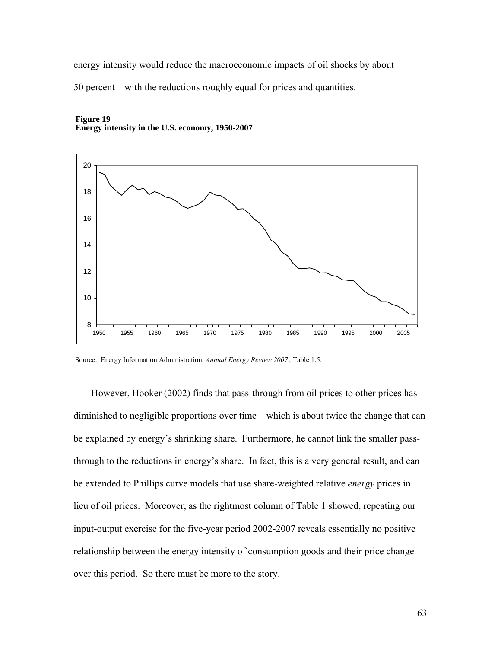energy intensity would reduce the macroeconomic impacts of oil shocks by about

50 percent—with the reductions roughly equal for prices and quantities.



#### **Figure 19 Energy intensity in the U.S. economy, 1950-2007**

Source: Energy Information Administration, *Annual Energy Review 2007* , Table 1.5.

However, Hooker (2002) finds that pass-through from oil prices to other prices has diminished to negligible proportions over time—which is about twice the change that can be explained by energy's shrinking share. Furthermore, he cannot link the smaller passthrough to the reductions in energy's share. In fact, this is a very general result, and can be extended to Phillips curve models that use share-weighted relative *energy* prices in lieu of oil prices. Moreover, as the rightmost column of Table 1 showed, repeating our input-output exercise for the five-year period 2002-2007 reveals essentially no positive relationship between the energy intensity of consumption goods and their price change over this period. So there must be more to the story.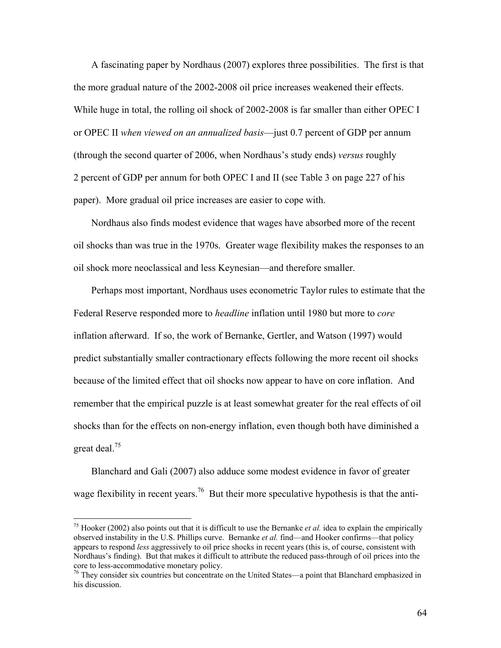A fascinating paper by Nordhaus (2007) explores three possibilities. The first is that the more gradual nature of the 2002-2008 oil price increases weakened their effects. While huge in total, the rolling oil shock of 2002-2008 is far smaller than either OPEC I or OPEC II *when viewed on an annualized basis*—just 0.7 percent of GDP per annum (through the second quarter of 2006, when Nordhaus's study ends) *versus* roughly 2 percent of GDP per annum for both OPEC I and II (see Table 3 on page 227 of his paper). More gradual oil price increases are easier to cope with.

Nordhaus also finds modest evidence that wages have absorbed more of the recent oil shocks than was true in the 1970s. Greater wage flexibility makes the responses to an oil shock more neoclassical and less Keynesian—and therefore smaller.

Perhaps most important, Nordhaus uses econometric Taylor rules to estimate that the Federal Reserve responded more to *headline* inflation until 1980 but more to *core* inflation afterward. If so, the work of Bernanke, Gertler, and Watson (1997) would predict substantially smaller contractionary effects following the more recent oil shocks because of the limited effect that oil shocks now appear to have on core inflation. And remember that the empirical puzzle is at least somewhat greater for the real effects of oil shocks than for the effects on non-energy inflation, even though both have diminished a great deal.<sup>75</sup>

Blanchard and Gali (2007) also adduce some modest evidence in favor of greater wage flexibility in recent years.<sup>76</sup> But their more speculative hypothesis is that the anti-

<u>.</u>

<sup>&</sup>lt;sup>75</sup> Hooker (2002) also points out that it is difficult to use the Bernanke *et al.* idea to explain the empirically observed instability in the U.S. Phillips curve. Bernanke *et al.* find—and Hooker confirms—that policy appears to respond *less* aggressively to oil price shocks in recent years (this is, of course, consistent with Nordhaus's finding). But that makes it difficult to attribute the reduced pass-through of oil prices into the core to less-accommodative monetary policy.

<sup>&</sup>lt;sup>76</sup> They consider six countries but concentrate on the United States—a point that Blanchard emphasized in his discussion.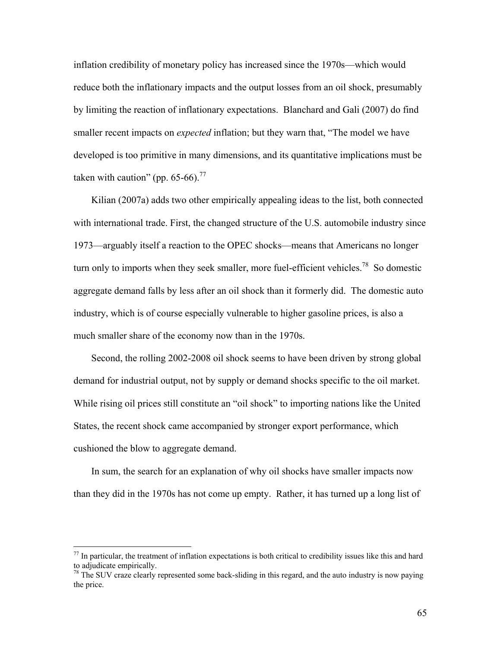inflation credibility of monetary policy has increased since the 1970s—which would reduce both the inflationary impacts and the output losses from an oil shock, presumably by limiting the reaction of inflationary expectations. Blanchard and Gali (2007) do find smaller recent impacts on *expected* inflation; but they warn that, "The model we have developed is too primitive in many dimensions, and its quantitative implications must be taken with caution" (pp.  $65-66$ ).<sup>77</sup>

Kilian (2007a) adds two other empirically appealing ideas to the list, both connected with international trade. First, the changed structure of the U.S. automobile industry since 1973—arguably itself a reaction to the OPEC shocks—means that Americans no longer turn only to imports when they seek smaller, more fuel-efficient vehicles.<sup>78</sup> So domestic aggregate demand falls by less after an oil shock than it formerly did. The domestic auto industry, which is of course especially vulnerable to higher gasoline prices, is also a much smaller share of the economy now than in the 1970s.

Second, the rolling 2002-2008 oil shock seems to have been driven by strong global demand for industrial output, not by supply or demand shocks specific to the oil market. While rising oil prices still constitute an "oil shock" to importing nations like the United States, the recent shock came accompanied by stronger export performance, which cushioned the blow to aggregate demand.

In sum, the search for an explanation of why oil shocks have smaller impacts now than they did in the 1970s has not come up empty. Rather, it has turned up a long list of

 $77$  In particular, the treatment of inflation expectations is both critical to credibility issues like this and hard to adjudicate empirically.

 $78$  The SUV craze clearly represented some back-sliding in this regard, and the auto industry is now paying the price.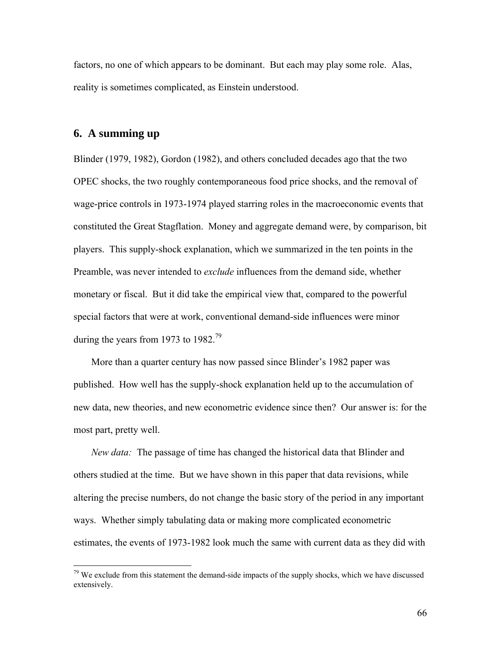factors, no one of which appears to be dominant. But each may play some role. Alas, reality is sometimes complicated, as Einstein understood.

## **6. A summing up**

 $\overline{a}$ 

Blinder (1979, 1982), Gordon (1982), and others concluded decades ago that the two OPEC shocks, the two roughly contemporaneous food price shocks, and the removal of wage-price controls in 1973-1974 played starring roles in the macroeconomic events that constituted the Great Stagflation. Money and aggregate demand were, by comparison, bit players. This supply-shock explanation, which we summarized in the ten points in the Preamble, was never intended to *exclude* influences from the demand side, whether monetary or fiscal. But it did take the empirical view that, compared to the powerful special factors that were at work, conventional demand-side influences were minor during the years from 1973 to 1982.<sup>79</sup>

More than a quarter century has now passed since Blinder's 1982 paper was published. How well has the supply-shock explanation held up to the accumulation of new data, new theories, and new econometric evidence since then? Our answer is: for the most part, pretty well.

*New data:* The passage of time has changed the historical data that Blinder and others studied at the time. But we have shown in this paper that data revisions, while altering the precise numbers, do not change the basic story of the period in any important ways. Whether simply tabulating data or making more complicated econometric estimates, the events of 1973-1982 look much the same with current data as they did with

 $79$  We exclude from this statement the demand-side impacts of the supply shocks, which we have discussed extensively.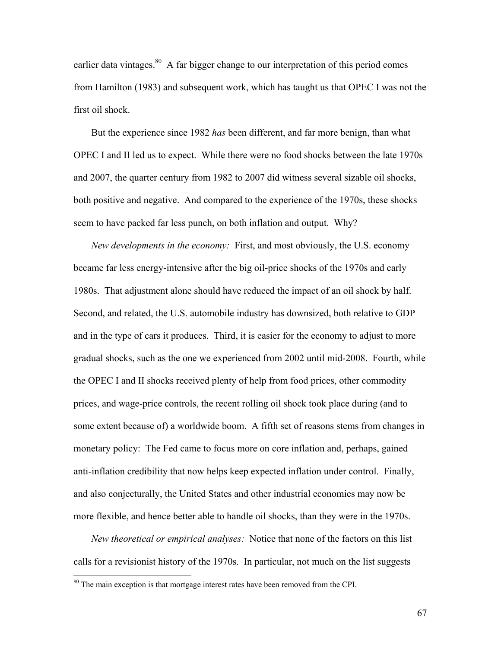earlier data vintages. $80$  A far bigger change to our interpretation of this period comes from Hamilton (1983) and subsequent work, which has taught us that OPEC I was not the first oil shock.

But the experience since 1982 *has* been different, and far more benign, than what OPEC I and II led us to expect. While there were no food shocks between the late 1970s and 2007, the quarter century from 1982 to 2007 did witness several sizable oil shocks, both positive and negative. And compared to the experience of the 1970s, these shocks seem to have packed far less punch, on both inflation and output. Why?

*New developments in the economy:* First, and most obviously, the U.S. economy became far less energy-intensive after the big oil-price shocks of the 1970s and early 1980s. That adjustment alone should have reduced the impact of an oil shock by half. Second, and related, the U.S. automobile industry has downsized, both relative to GDP and in the type of cars it produces. Third, it is easier for the economy to adjust to more gradual shocks, such as the one we experienced from 2002 until mid-2008. Fourth, while the OPEC I and II shocks received plenty of help from food prices, other commodity prices, and wage-price controls, the recent rolling oil shock took place during (and to some extent because of) a worldwide boom. A fifth set of reasons stems from changes in monetary policy: The Fed came to focus more on core inflation and, perhaps, gained anti-inflation credibility that now helps keep expected inflation under control. Finally, and also conjecturally, the United States and other industrial economies may now be more flexible, and hence better able to handle oil shocks, than they were in the 1970s.

*New theoretical or empirical analyses:* Notice that none of the factors on this list calls for a revisionist history of the 1970s. In particular, not much on the list suggests

 $\overline{a}$ 

<sup>&</sup>lt;sup>80</sup> The main exception is that mortgage interest rates have been removed from the CPI.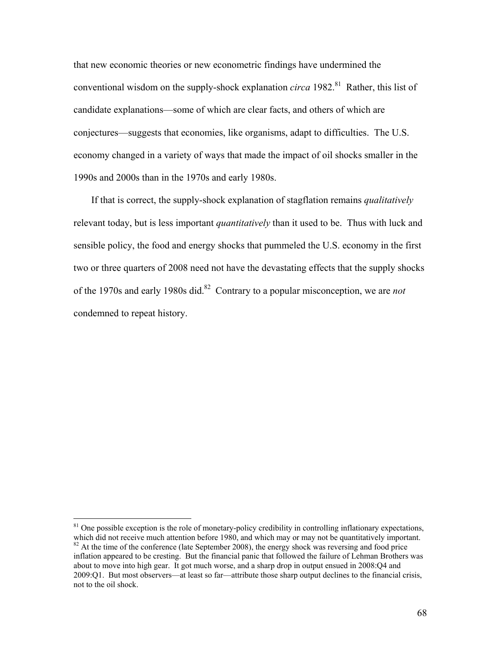that new economic theories or new econometric findings have undermined the conventional wisdom on the supply-shock explanation *circa* 1982.<sup>81</sup> Rather, this list of candidate explanations—some of which are clear facts, and others of which are conjectures—suggests that economies, like organisms, adapt to difficulties. The U.S. economy changed in a variety of ways that made the impact of oil shocks smaller in the 1990s and 2000s than in the 1970s and early 1980s.

If that is correct, the supply-shock explanation of stagflation remains *qualitatively* relevant today, but is less important *quantitatively* than it used to be. Thus with luck and sensible policy, the food and energy shocks that pummeled the U.S. economy in the first two or three quarters of 2008 need not have the devastating effects that the supply shocks of the 1970s and early 1980s did.82 Contrary to a popular misconception, we are *not* condemned to repeat history.

 $81$  One possible exception is the role of monetary-policy credibility in controlling inflationary expectations, which did not receive much attention before 1980, and which may or may not be quantitatively important. <sup>82</sup> At the time of the conference (late September 2008), the energy shock was reversing and food price

inflation appeared to be cresting. But the financial panic that followed the failure of Lehman Brothers was about to move into high gear. It got much worse, and a sharp drop in output ensued in 2008:Q4 and 2009:Q1. But most observers—at least so far—attribute those sharp output declines to the financial crisis, not to the oil shock.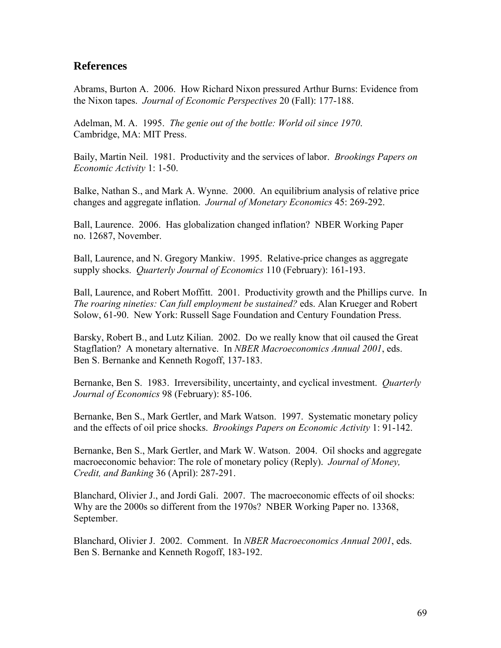# **References**

Abrams, Burton A. 2006. How Richard Nixon pressured Arthur Burns: Evidence from the Nixon tapes. *Journal of Economic Perspectives* 20 (Fall): 177-188.

Adelman, M. A. 1995. *The genie out of the bottle: World oil since 1970*. Cambridge, MA: MIT Press.

Baily, Martin Neil. 1981. Productivity and the services of labor. *Brookings Papers on Economic Activity* 1: 1-50.

Balke, Nathan S., and Mark A. Wynne. 2000. An equilibrium analysis of relative price changes and aggregate inflation. *Journal of Monetary Economics* 45: 269-292.

Ball, Laurence. 2006. Has globalization changed inflation? NBER Working Paper no. 12687, November.

Ball, Laurence, and N. Gregory Mankiw. 1995. Relative-price changes as aggregate supply shocks. *Quarterly Journal of Economics* 110 (February): 161-193.

Ball, Laurence, and Robert Moffitt. 2001. Productivity growth and the Phillips curve. In *The roaring nineties: Can full employment be sustained?* eds. Alan Krueger and Robert Solow, 61-90. New York: Russell Sage Foundation and Century Foundation Press.

Barsky, Robert B., and Lutz Kilian. 2002. Do we really know that oil caused the Great Stagflation? A monetary alternative. In *NBER Macroeconomics Annual 2001*, eds. Ben S. Bernanke and Kenneth Rogoff, 137-183.

Bernanke, Ben S. 1983. Irreversibility, uncertainty, and cyclical investment. *Quarterly Journal of Economics* 98 (February): 85-106.

Bernanke, Ben S., Mark Gertler, and Mark Watson. 1997. Systematic monetary policy and the effects of oil price shocks. *Brookings Papers on Economic Activity* 1: 91-142.

Bernanke, Ben S., Mark Gertler, and Mark W. Watson. 2004. Oil shocks and aggregate macroeconomic behavior: The role of monetary policy (Reply). *Journal of Money, Credit, and Banking* 36 (April): 287-291.

Blanchard, Olivier J., and Jordi Gali. 2007. The macroeconomic effects of oil shocks: Why are the 2000s so different from the 1970s? NBER Working Paper no. 13368, September.

Blanchard, Olivier J. 2002. Comment. In *NBER Macroeconomics Annual 2001*, eds. Ben S. Bernanke and Kenneth Rogoff, 183-192.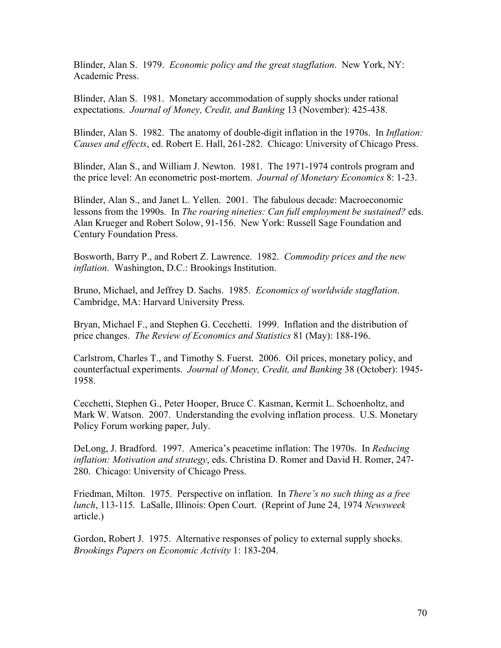Blinder, Alan S. 1979. *Economic policy and the great stagflation*. New York, NY: Academic Press.

Blinder, Alan S. 1981. Monetary accommodation of supply shocks under rational expectations. *Journal of Money, Credit, and Banking* 13 (November): 425-438.

Blinder, Alan S. 1982. The anatomy of double-digit inflation in the 1970s. In *Inflation: Causes and effects*, ed. Robert E. Hall, 261-282. Chicago: University of Chicago Press.

Blinder, Alan S., and William J. Newton. 1981. The 1971-1974 controls program and the price level: An econometric post-mortem. *Journal of Monetary Economics* 8: 1-23.

Blinder, Alan S., and Janet L. Yellen. 2001. The fabulous decade: Macroeconomic lessons from the 1990s. In *The roaring nineties: Can full employment be sustained?* eds. Alan Krueger and Robert Solow, 91-156. New York: Russell Sage Foundation and Century Foundation Press.

Bosworth, Barry P., and Robert Z. Lawrence. 1982. *Commodity prices and the new inflation*. Washington, D.C.: Brookings Institution.

Bruno, Michael, and Jeffrey D. Sachs. 1985. *Economics of worldwide stagflation*. Cambridge, MA: Harvard University Press.

Bryan, Michael F., and Stephen G. Cecchetti. 1999. Inflation and the distribution of price changes. *The Review of Economics and Statistics* 81 (May): 188-196.

Carlstrom, Charles T., and Timothy S. Fuerst. 2006. Oil prices, monetary policy, and counterfactual experiments. *Journal of Money, Credit, and Banking* 38 (October): 1945- 1958.

Cecchetti, Stephen G., Peter Hooper, Bruce C. Kasman, Kermit L. Schoenholtz, and Mark W. Watson. 2007. Understanding the evolving inflation process. U.S. Monetary Policy Forum working paper, July.

DeLong, J. Bradford. 1997. America's peacetime inflation: The 1970s. In *Reducing inflation: Motivation and strategy*, eds. Christina D. Romer and David H. Romer, 247- 280. Chicago: University of Chicago Press.

Friedman, Milton. 1975. Perspective on inflation. In *There's no such thing as a free lunch*, 113-115*.* LaSalle, Illinois: Open Court. (Reprint of June 24, 1974 *Newsweek* article.)

Gordon, Robert J. 1975. Alternative responses of policy to external supply shocks. *Brookings Papers on Economic Activity* 1: 183-204.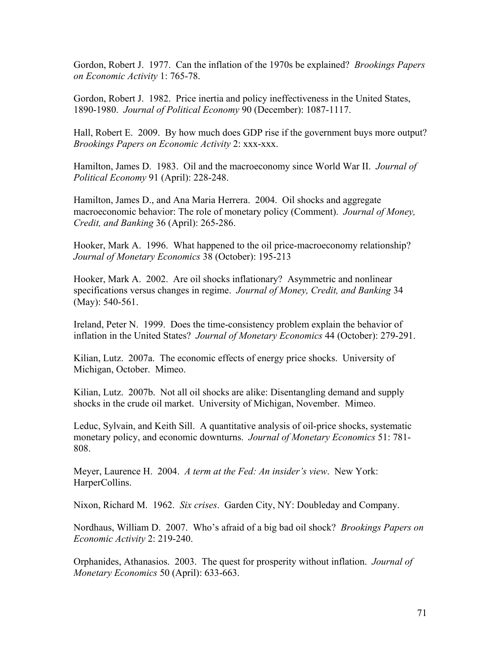Gordon, Robert J. 1977. Can the inflation of the 1970s be explained? *Brookings Papers on Economic Activity* 1: 765-78.

Gordon, Robert J. 1982. Price inertia and policy ineffectiveness in the United States, 1890-1980. *Journal of Political Economy* 90 (December): 1087-1117.

Hall, Robert E. 2009. By how much does GDP rise if the government buys more output? *Brookings Papers on Economic Activity* 2: xxx-xxx.

Hamilton, James D. 1983. Oil and the macroeconomy since World War II. *Journal of Political Economy* 91 (April): 228-248.

Hamilton, James D., and Ana Maria Herrera. 2004. Oil shocks and aggregate macroeconomic behavior: The role of monetary policy (Comment). *Journal of Money, Credit, and Banking* 36 (April): 265-286.

Hooker, Mark A. 1996. What happened to the oil price-macroeconomy relationship? *Journal of Monetary Economics* 38 (October): 195-213

Hooker, Mark A. 2002. Are oil shocks inflationary? Asymmetric and nonlinear specifications versus changes in regime. *Journal of Money, Credit, and Banking* 34 (May): 540-561.

Ireland, Peter N. 1999. Does the time-consistency problem explain the behavior of inflation in the United States? *Journal of Monetary Economics* 44 (October): 279-291.

Kilian, Lutz. 2007a. The economic effects of energy price shocks. University of Michigan, October. Mimeo.

Kilian, Lutz. 2007b. Not all oil shocks are alike: Disentangling demand and supply shocks in the crude oil market. University of Michigan, November. Mimeo.

Leduc, Sylvain, and Keith Sill. A quantitative analysis of oil-price shocks, systematic monetary policy, and economic downturns. *Journal of Monetary Economics* 51: 781- 808.

Meyer, Laurence H. 2004. *A term at the Fed: An insider's view*. New York: HarperCollins.

Nixon, Richard M. 1962. *Six crises*. Garden City, NY: Doubleday and Company.

Nordhaus, William D. 2007. Who's afraid of a big bad oil shock? *Brookings Papers on Economic Activity* 2: 219-240.

Orphanides, Athanasios. 2003. The quest for prosperity without inflation. *Journal of Monetary Economics* 50 (April): 633-663.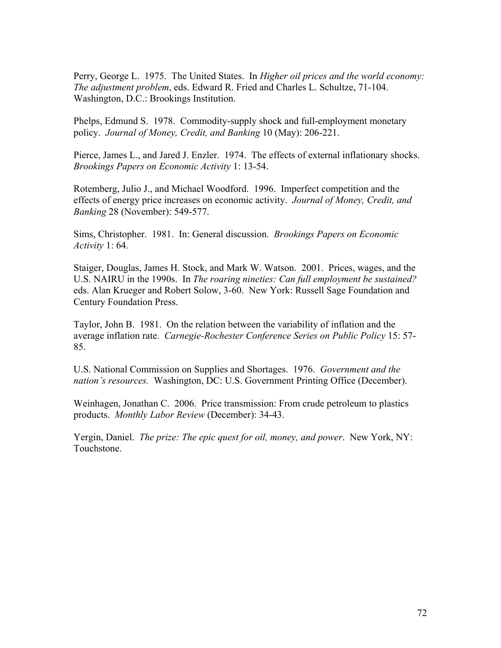Perry, George L. 1975. The United States. In *Higher oil prices and the world economy: The adjustment problem*, eds. Edward R. Fried and Charles L. Schultze, 71-104. Washington, D.C.: Brookings Institution.

Phelps, Edmund S. 1978. Commodity-supply shock and full-employment monetary policy. *Journal of Money, Credit, and Banking* 10 (May): 206-221.

Pierce, James L., and Jared J. Enzler. 1974. The effects of external inflationary shocks. *Brookings Papers on Economic Activity* 1: 13-54.

Rotemberg, Julio J., and Michael Woodford. 1996. Imperfect competition and the effects of energy price increases on economic activity. *Journal of Money, Credit, and Banking* 28 (November): 549-577.

Sims, Christopher. 1981. In: General discussion. *Brookings Papers on Economic Activity* 1: 64.

Staiger, Douglas, James H. Stock, and Mark W. Watson. 2001. Prices, wages, and the U.S. NAIRU in the 1990s. In *The roaring nineties: Can full employment be sustained?* eds. Alan Krueger and Robert Solow, 3-60. New York: Russell Sage Foundation and Century Foundation Press.

Taylor, John B. 1981. On the relation between the variability of inflation and the average inflation rate. *Carnegie-Rochester Conference Series on Public Policy* 15: 57- 85.

U.S. National Commission on Supplies and Shortages. 1976. *Government and the nation's resources.* Washington, DC: U.S. Government Printing Office (December).

Weinhagen, Jonathan C. 2006. Price transmission: From crude petroleum to plastics products. *Monthly Labor Review* (December): 34-43.

Yergin, Daniel. *The prize: The epic quest for oil, money, and power*. New York, NY: Touchstone.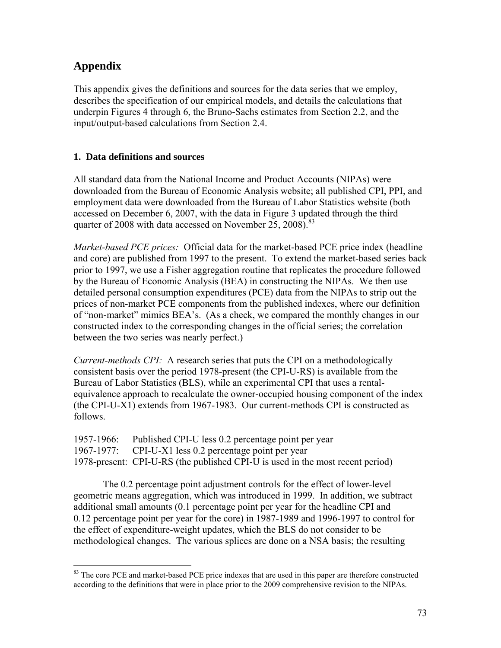## **Appendix**

1

This appendix gives the definitions and sources for the data series that we employ, describes the specification of our empirical models, and details the calculations that underpin Figures 4 through 6, the Bruno-Sachs estimates from Section 2.2, and the input/output-based calculations from Section 2.4.

## **1. Data definitions and sources**

All standard data from the National Income and Product Accounts (NIPAs) were downloaded from the Bureau of Economic Analysis website; all published CPI, PPI, and employment data were downloaded from the Bureau of Labor Statistics website (both accessed on December 6, 2007, with the data in Figure 3 updated through the third quarter of 2008 with data accessed on November 25, 2008).<sup>83</sup>

*Market-based PCE prices:* Official data for the market-based PCE price index (headline and core) are published from 1997 to the present. To extend the market-based series back prior to 1997, we use a Fisher aggregation routine that replicates the procedure followed by the Bureau of Economic Analysis (BEA) in constructing the NIPAs. We then use detailed personal consumption expenditures (PCE) data from the NIPAs to strip out the prices of non-market PCE components from the published indexes, where our definition of "non-market" mimics BEA's. (As a check, we compared the monthly changes in our constructed index to the corresponding changes in the official series; the correlation between the two series was nearly perfect.)

*Current-methods CPI:* A research series that puts the CPI on a methodologically consistent basis over the period 1978-present (the CPI-U-RS) is available from the Bureau of Labor Statistics (BLS), while an experimental CPI that uses a rentalequivalence approach to recalculate the owner-occupied housing component of the index (the CPI-U-X1) extends from 1967-1983. Our current-methods CPI is constructed as follows.

| 1957-1966: Published CPI-U less 0.2 percentage point per year                  |
|--------------------------------------------------------------------------------|
| $1967-1977$ : CPI-U-X1 less 0.2 percentage point per year                      |
| 1978-present: CPI-U-RS (the published CPI-U is used in the most recent period) |

The 0.2 percentage point adjustment controls for the effect of lower-level geometric means aggregation, which was introduced in 1999. In addition, we subtract additional small amounts (0.1 percentage point per year for the headline CPI and 0.12 percentage point per year for the core) in 1987-1989 and 1996-1997 to control for the effect of expenditure-weight updates, which the BLS do not consider to be methodological changes. The various splices are done on a NSA basis; the resulting

<sup>&</sup>lt;sup>83</sup> The core PCE and market-based PCE price indexes that are used in this paper are therefore constructed according to the definitions that were in place prior to the 2009 comprehensive revision to the NIPAs.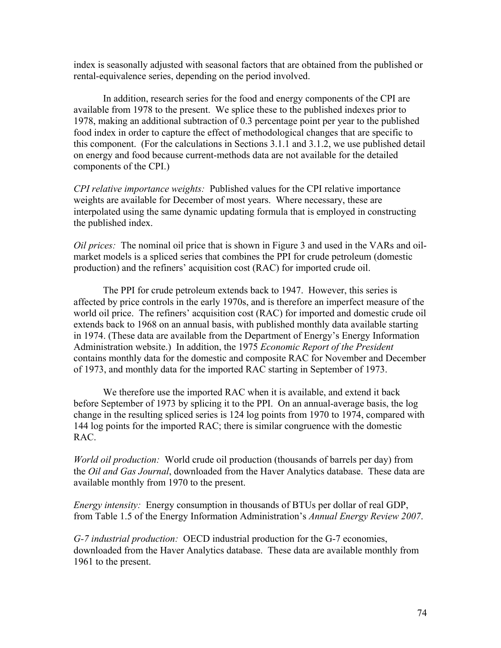index is seasonally adjusted with seasonal factors that are obtained from the published or rental-equivalence series, depending on the period involved.

In addition, research series for the food and energy components of the CPI are available from 1978 to the present. We splice these to the published indexes prior to 1978, making an additional subtraction of 0.3 percentage point per year to the published food index in order to capture the effect of methodological changes that are specific to this component. (For the calculations in Sections 3.1.1 and 3.1.2, we use published detail on energy and food because current-methods data are not available for the detailed components of the CPI.)

*CPI relative importance weights:* Published values for the CPI relative importance weights are available for December of most years. Where necessary, these are interpolated using the same dynamic updating formula that is employed in constructing the published index.

*Oil prices:* The nominal oil price that is shown in Figure 3 and used in the VARs and oilmarket models is a spliced series that combines the PPI for crude petroleum (domestic production) and the refiners' acquisition cost (RAC) for imported crude oil.

The PPI for crude petroleum extends back to 1947. However, this series is affected by price controls in the early 1970s, and is therefore an imperfect measure of the world oil price. The refiners' acquisition cost (RAC) for imported and domestic crude oil extends back to 1968 on an annual basis, with published monthly data available starting in 1974. (These data are available from the Department of Energy's Energy Information Administration website.) In addition, the 1975 *Economic Report of the President* contains monthly data for the domestic and composite RAC for November and December of 1973, and monthly data for the imported RAC starting in September of 1973.

We therefore use the imported RAC when it is available, and extend it back before September of 1973 by splicing it to the PPI. On an annual-average basis, the log change in the resulting spliced series is 124 log points from 1970 to 1974, compared with 144 log points for the imported RAC; there is similar congruence with the domestic RAC.

*World oil production:* World crude oil production (thousands of barrels per day) from the *Oil and Gas Journal*, downloaded from the Haver Analytics database. These data are available monthly from 1970 to the present.

*Energy intensity:* Energy consumption in thousands of BTUs per dollar of real GDP, from Table 1.5 of the Energy Information Administration's *Annual Energy Review 2007*.

*G-7 industrial production:* OECD industrial production for the G-7 economies, downloaded from the Haver Analytics database. These data are available monthly from 1961 to the present.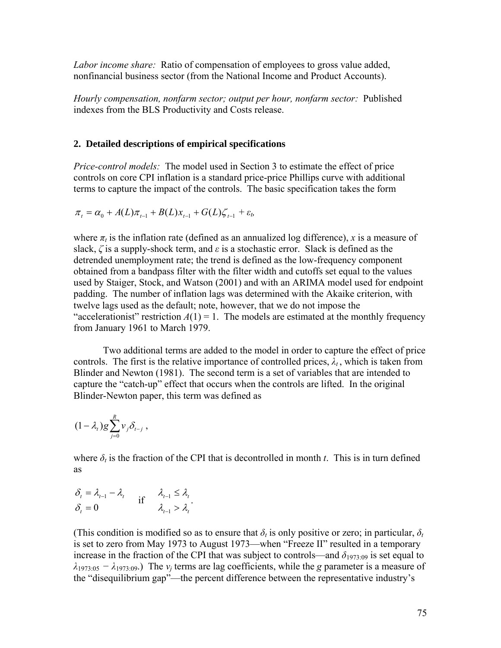*Labor income share:* Ratio of compensation of employees to gross value added, nonfinancial business sector (from the National Income and Product Accounts).

*Hourly compensation, nonfarm sector; output per hour, nonfarm sector:* Published indexes from the BLS Productivity and Costs release.

## **2. Detailed descriptions of empirical specifications**

*Price-control models:* The model used in Section 3 to estimate the effect of price controls on core CPI inflation is a standard price-price Phillips curve with additional terms to capture the impact of the controls. The basic specification takes the form

$$
\pi_{t} = \alpha_{0} + A(L)\pi_{t-1} + B(L)x_{t-1} + G(L)\zeta_{t-1} + \varepsilon_{t}
$$

where  $\pi_t$  is the inflation rate (defined as an annualized log difference), *x* is a measure of slack, *ζ* is a supply-shock term, and *ε* is a stochastic error. Slack is defined as the detrended unemployment rate; the trend is defined as the low-frequency component obtained from a bandpass filter with the filter width and cutoffs set equal to the values used by Staiger, Stock, and Watson (2001) and with an ARIMA model used for endpoint padding. The number of inflation lags was determined with the Akaike criterion, with twelve lags used as the default; note, however, that we do not impose the "accelerationist" restriction  $A(1) = 1$ . The models are estimated at the monthly frequency from January 1961 to March 1979.

 Two additional terms are added to the model in order to capture the effect of price controls. The first is the relative importance of controlled prices,  $\lambda_t$ , which is taken from Blinder and Newton (1981). The second term is a set of variables that are intended to capture the "catch-up" effect that occurs when the controls are lifted. In the original Blinder-Newton paper, this term was defined as

$$
(1-\lambda_t)g\sum_{j=0}^R v_j\delta_{t-j},
$$

where  $\delta_t$  is the fraction of the CPI that is decontrolled in month *t*. This is in turn defined as

$$
\begin{aligned}\n\delta_t &= \lambda_{t-1} - \lambda_t &\text{if} & \lambda_{t-1} \le \lambda_t \\
\delta_t &= 0 & \lambda_{t-1} > \lambda_t\n\end{aligned}
$$

(This condition is modified so as to ensure that  $\delta$ *i* is only positive or zero; in particular,  $\delta$ *t* is set to zero from May 1973 to August 1973—when "Freeze II" resulted in a temporary increase in the fraction of the CPI that was subject to controls—and  $\delta_{1973:09}$  is set equal to  $\lambda_{1973:05} - \lambda_{1973:09}$ .) The *v<sub>i</sub>* terms are lag coefficients, while the *g* parameter is a measure of the "disequilibrium gap"—the percent difference between the representative industry's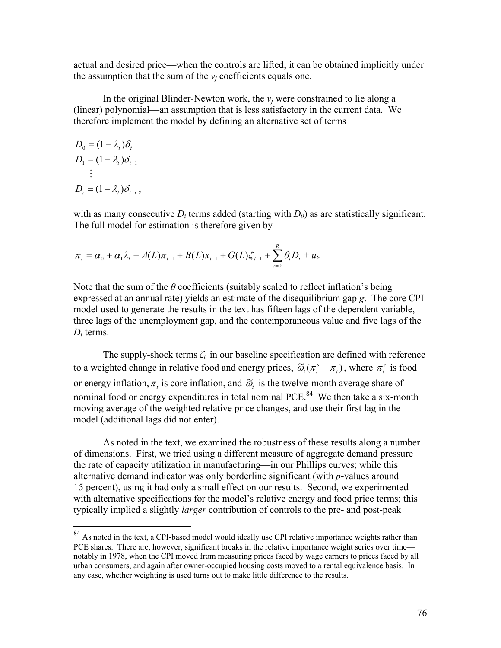actual and desired price—when the controls are lifted; it can be obtained implicitly under the assumption that the sum of the  $v_i$  coefficients equals one.

In the original Blinder-Newton work, the  $v_i$  were constrained to lie along a (linear) polynomial—an assumption that is less satisfactory in the current data. We therefore implement the model by defining an alternative set of terms

$$
D_0 = (1 - \lambda_t)\delta_t
$$
  
\n
$$
D_1 = (1 - \lambda_t)\delta_{t-1}
$$
  
\n
$$
\vdots
$$
  
\n
$$
D_i = (1 - \lambda_t)\delta_{t-i}
$$

 $\overline{a}$ 

with as many consecutive  $D_i$  terms added (starting with  $D_0$ ) as are statistically significant. The full model for estimation is therefore given by

$$
\pi_{t} = \alpha_{0} + \alpha_{1}\lambda_{t} + A(L)\pi_{t-1} + B(L)x_{t-1} + G(L)\zeta_{t-1} + \sum_{i=0}^{R} \theta_{i}D_{i} + u_{t}.
$$

Note that the sum of the *θ* coefficients (suitably scaled to reflect inflation's being expressed at an annual rate) yields an estimate of the disequilibrium gap *g*. The core CPI model used to generate the results in the text has fifteen lags of the dependent variable, three lags of the unemployment gap, and the contemporaneous value and five lags of the *Di* terms.

The supply-shock terms  $\zeta_t$  in our baseline specification are defined with reference to a weighted change in relative food and energy prices,  $\tilde{\omega}_t (\pi_t^s - \pi_t)$ , where  $\pi_t^s$  is food or energy inflation,  $\pi$  is core inflation, and  $\tilde{\omega}_t$  is the twelve-month average share of nominal food or energy expenditures in total nominal PCE.<sup>84</sup> We then take a six-month moving average of the weighted relative price changes, and use their first lag in the model (additional lags did not enter).

As noted in the text, we examined the robustness of these results along a number of dimensions. First, we tried using a different measure of aggregate demand pressure the rate of capacity utilization in manufacturing—in our Phillips curves; while this alternative demand indicator was only borderline significant (with *p*-values around 15 percent), using it had only a small effect on our results. Second, we experimented with alternative specifications for the model's relative energy and food price terms; this typically implied a slightly *larger* contribution of controls to the pre- and post-peak

 $84$  As noted in the text, a CPI-based model would ideally use CPI relative importance weights rather than PCE shares. There are, however, significant breaks in the relative importance weight series over time notably in 1978, when the CPI moved from measuring prices faced by wage earners to prices faced by all urban consumers, and again after owner-occupied housing costs moved to a rental equivalence basis. In any case, whether weighting is used turns out to make little difference to the results.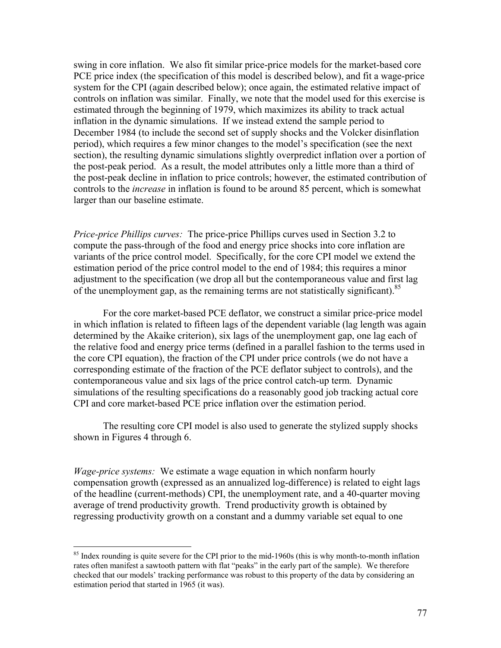swing in core inflation. We also fit similar price-price models for the market-based core PCE price index (the specification of this model is described below), and fit a wage-price system for the CPI (again described below); once again, the estimated relative impact of controls on inflation was similar. Finally, we note that the model used for this exercise is estimated through the beginning of 1979, which maximizes its ability to track actual inflation in the dynamic simulations. If we instead extend the sample period to December 1984 (to include the second set of supply shocks and the Volcker disinflation period), which requires a few minor changes to the model's specification (see the next section), the resulting dynamic simulations slightly overpredict inflation over a portion of the post-peak period. As a result, the model attributes only a little more than a third of the post-peak decline in inflation to price controls; however, the estimated contribution of controls to the *increase* in inflation is found to be around 85 percent, which is somewhat larger than our baseline estimate.

*Price-price Phillips curves:* The price-price Phillips curves used in Section 3.2 to compute the pass-through of the food and energy price shocks into core inflation are variants of the price control model. Specifically, for the core CPI model we extend the estimation period of the price control model to the end of 1984; this requires a minor adjustment to the specification (we drop all but the contemporaneous value and first lag of the unemployment gap, as the remaining terms are not statistically significant).<sup>85</sup>

For the core market-based PCE deflator, we construct a similar price-price model in which inflation is related to fifteen lags of the dependent variable (lag length was again determined by the Akaike criterion), six lags of the unemployment gap, one lag each of the relative food and energy price terms (defined in a parallel fashion to the terms used in the core CPI equation), the fraction of the CPI under price controls (we do not have a corresponding estimate of the fraction of the PCE deflator subject to controls), and the contemporaneous value and six lags of the price control catch-up term. Dynamic simulations of the resulting specifications do a reasonably good job tracking actual core CPI and core market-based PCE price inflation over the estimation period.

The resulting core CPI model is also used to generate the stylized supply shocks shown in Figures 4 through 6.

*Wage-price systems:* We estimate a wage equation in which nonfarm hourly compensation growth (expressed as an annualized log-difference) is related to eight lags of the headline (current-methods) CPI, the unemployment rate, and a 40-quarter moving average of trend productivity growth. Trend productivity growth is obtained by regressing productivity growth on a constant and a dummy variable set equal to one

 $\overline{a}$ 

<sup>&</sup>lt;sup>85</sup> Index rounding is quite severe for the CPI prior to the mid-1960s (this is why month-to-month inflation rates often manifest a sawtooth pattern with flat "peaks" in the early part of the sample). We therefore checked that our models' tracking performance was robust to this property of the data by considering an estimation period that started in 1965 (it was).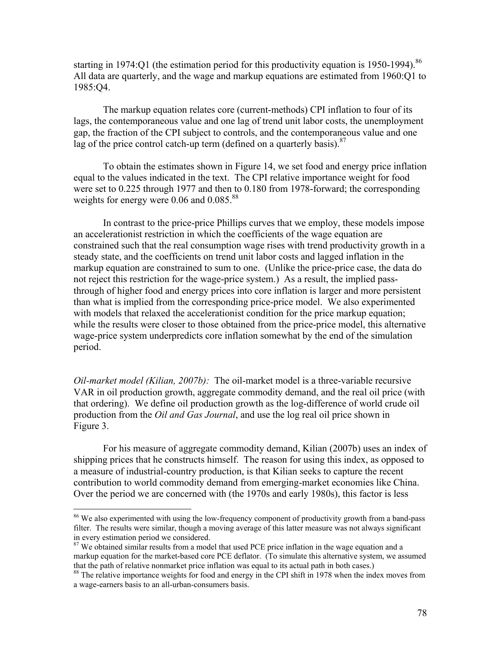starting in 1974:Q1 (the estimation period for this productivity equation is 1950-1994).<sup>86</sup> All data are quarterly, and the wage and markup equations are estimated from 1960:Q1 to 1985:Q4.

The markup equation relates core (current-methods) CPI inflation to four of its lags, the contemporaneous value and one lag of trend unit labor costs, the unemployment gap, the fraction of the CPI subject to controls, and the contemporaneous value and one lag of the price control catch-up term (defined on a quarterly basis). $87$ 

To obtain the estimates shown in Figure 14, we set food and energy price inflation equal to the values indicated in the text. The CPI relative importance weight for food were set to 0.225 through 1977 and then to 0.180 from 1978-forward; the corresponding weights for energy were 0.06 and 0.085.<sup>88</sup>

In contrast to the price-price Phillips curves that we employ, these models impose an accelerationist restriction in which the coefficients of the wage equation are constrained such that the real consumption wage rises with trend productivity growth in a steady state, and the coefficients on trend unit labor costs and lagged inflation in the markup equation are constrained to sum to one. (Unlike the price-price case, the data do not reject this restriction for the wage-price system.) As a result, the implied passthrough of higher food and energy prices into core inflation is larger and more persistent than what is implied from the corresponding price-price model. We also experimented with models that relaxed the accelerationist condition for the price markup equation; while the results were closer to those obtained from the price-price model, this alternative wage-price system underpredicts core inflation somewhat by the end of the simulation period.

*Oil-market model (Kilian, 2007b):* The oil-market model is a three-variable recursive VAR in oil production growth, aggregate commodity demand, and the real oil price (with that ordering). We define oil production growth as the log-difference of world crude oil production from the *Oil and Gas Journal*, and use the log real oil price shown in Figure 3.

 For his measure of aggregate commodity demand, Kilian (2007b) uses an index of shipping prices that he constructs himself. The reason for using this index, as opposed to a measure of industrial-country production, is that Kilian seeks to capture the recent contribution to world commodity demand from emerging-market economies like China. Over the period we are concerned with (the 1970s and early 1980s), this factor is less

1

<sup>&</sup>lt;sup>86</sup> We also experimented with using the low-frequency component of productivity growth from a band-pass filter. The results were similar, though a moving average of this latter measure was not always significant in every estimation period we considered.

<sup>&</sup>lt;sup>87</sup> We obtained similar results from a model that used PCE price inflation in the wage equation and a markup equation for the market-based core PCE deflator. (To simulate this alternative system, we assumed that the path of relative nonmarket price inflation was equal to its actual path in both cases.)

<sup>&</sup>lt;sup>88</sup> The relative importance weights for food and energy in the CPI shift in 1978 when the index moves from a wage-earners basis to an all-urban-consumers basis.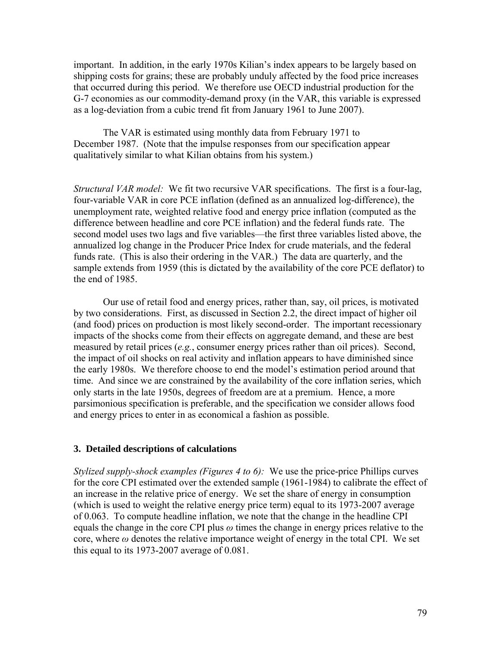important. In addition, in the early 1970s Kilian's index appears to be largely based on shipping costs for grains; these are probably unduly affected by the food price increases that occurred during this period. We therefore use OECD industrial production for the G-7 economies as our commodity-demand proxy (in the VAR, this variable is expressed as a log-deviation from a cubic trend fit from January 1961 to June 2007).

 The VAR is estimated using monthly data from February 1971 to December 1987. (Note that the impulse responses from our specification appear qualitatively similar to what Kilian obtains from his system.)

*Structural VAR model:* We fit two recursive VAR specifications. The first is a four-lag, four-variable VAR in core PCE inflation (defined as an annualized log-difference), the unemployment rate, weighted relative food and energy price inflation (computed as the difference between headline and core PCE inflation) and the federal funds rate. The second model uses two lags and five variables—the first three variables listed above, the annualized log change in the Producer Price Index for crude materials, and the federal funds rate. (This is also their ordering in the VAR.) The data are quarterly, and the sample extends from 1959 (this is dictated by the availability of the core PCE deflator) to the end of 1985.

Our use of retail food and energy prices, rather than, say, oil prices, is motivated by two considerations. First, as discussed in Section 2.2, the direct impact of higher oil (and food) prices on production is most likely second-order. The important recessionary impacts of the shocks come from their effects on aggregate demand, and these are best measured by retail prices (*e.g.*, consumer energy prices rather than oil prices). Second, the impact of oil shocks on real activity and inflation appears to have diminished since the early 1980s. We therefore choose to end the model's estimation period around that time. And since we are constrained by the availability of the core inflation series, which only starts in the late 1950s, degrees of freedom are at a premium. Hence, a more parsimonious specification is preferable, and the specification we consider allows food and energy prices to enter in as economical a fashion as possible.

## **3. Detailed descriptions of calculations**

*Stylized supply-shock examples (Figures 4 to 6):* We use the price-price Phillips curves for the core CPI estimated over the extended sample (1961-1984) to calibrate the effect of an increase in the relative price of energy. We set the share of energy in consumption (which is used to weight the relative energy price term) equal to its 1973-2007 average of 0.063. To compute headline inflation, we note that the change in the headline CPI equals the change in the core CPI plus *ω* times the change in energy prices relative to the core, where  $\omega$  denotes the relative importance weight of energy in the total CPI. We set this equal to its 1973-2007 average of 0.081.